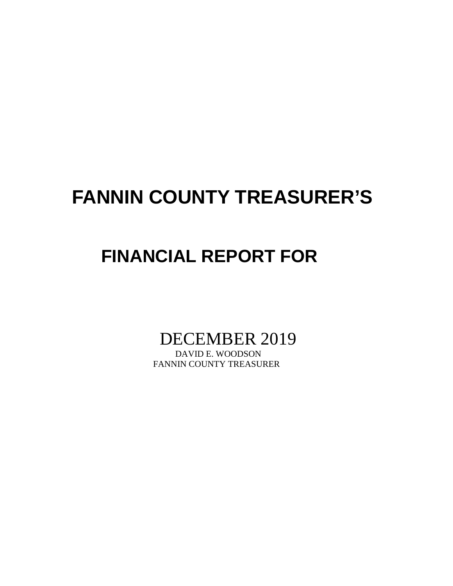# **FANNIN COUNTY TREASURER'S**

# **FINANCIAL REPORT FOR**

DECEMBER 2019

FANNIN COUNTY TREASURER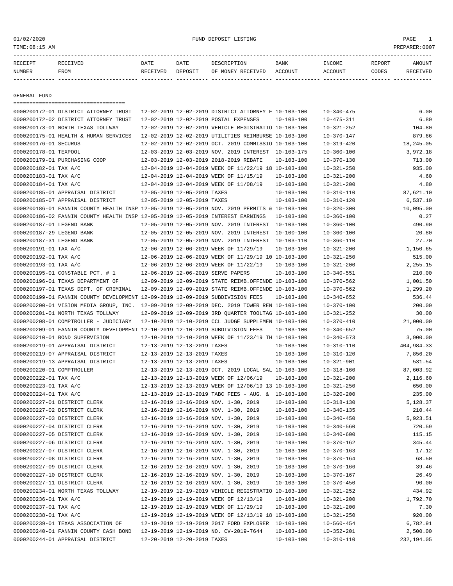## 01/02/2020 FUND DEPOSIT LISTING PAGE 1

| RECEIPT       | <b>RECEIVED</b> | DATE     | DATE    | DESCRIPTION       | <b>BANK</b> | INCOME  | REPORT | AMOUNT          |
|---------------|-----------------|----------|---------|-------------------|-------------|---------|--------|-----------------|
| <b>NUMBER</b> | FROM            | RECEIVED | DEPOSIT | OF MONEY RECEIVED | ACCOUNT     | ACCOUNT | CODES  | <b>RECEIVED</b> |
|               |                 |          |         |                   |             |         |        |                 |

GENERAL FUND

|                                                | =====================================                                                        |                             |                             |                                                                                  |                  |                  |                    |
|------------------------------------------------|----------------------------------------------------------------------------------------------|-----------------------------|-----------------------------|----------------------------------------------------------------------------------|------------------|------------------|--------------------|
|                                                | 0000200172-01 DISTRICT ATTORNEY TRUST                                                        |                             |                             | 12-02-2019 12-02-2019 DISTRICT ATTORNEY F 10-103-100                             |                  | $10 - 340 - 475$ | 6.00               |
|                                                | 0000200172-02 DISTRICT ATTORNEY TRUST                                                        |                             |                             | 12-02-2019 12-02-2019 POSTAL EXPENSES                                            | $10 - 103 - 100$ | $10 - 475 - 311$ | 6.80               |
|                                                | 0000200173-01 NORTH TEXAS TOLLWAY                                                            |                             |                             | 12-02-2019 12-02-2019 VEHICLE REGISTRATIO 10-103-100                             |                  | $10 - 321 - 252$ | 104.80             |
|                                                | 0000200175-01 HEALTH & HUMAN SERVICES                                                        |                             |                             | 12-02-2019 12-02-2019 UTILITIES REIMBURSE 10-103-100                             |                  | $10 - 370 - 147$ | 879.66             |
| 0000200176-01 SECURUS                          |                                                                                              |                             |                             | 12-02-2019 12-02-2019 OCT. 2019 COMMISSIO 10-103-100                             |                  | $10 - 319 - 420$ | 18,245.05          |
| 0000200178-01 TEXPOOL                          |                                                                                              |                             |                             | 12-03-2019 12-03-2019 NOV. 2019 INTEREST                                         | 10-103-175       | $10 - 360 - 100$ | 3,972.18           |
|                                                | 0000200179-01 PURCHASING COOP                                                                |                             |                             | 12-03-2019 12-03-2019 2018-2019 REBATE                                           | $10 - 103 - 100$ | $10 - 370 - 130$ | 713.00             |
| 0000200182-01 TAX A/C                          |                                                                                              |                             |                             | 12-04-2019 12-04-2019 WEEK OF 11/22/19 18 10-103-100                             |                  | $10 - 321 - 250$ | 935.00             |
| 0000200183-01 TAX A/C                          |                                                                                              |                             |                             | 12-04-2019 12-04-2019 WEEK OF 11/15/19                                           | $10 - 103 - 100$ | $10 - 321 - 200$ | 4.60               |
| 0000200184-01 TAX A/C                          |                                                                                              |                             |                             | 12-04-2019 12-04-2019 WEEK OF 11/08/19                                           | $10 - 103 - 100$ | $10 - 321 - 200$ | 4.80               |
|                                                | 0000200185-01 APPRAISAL DISTRICT                                                             | 12-05-2019 12-05-2019 TAXES |                             |                                                                                  | $10 - 103 - 100$ | $10 - 310 - 110$ | 87,621.10          |
|                                                | 0000200185-07 APPRAISAL DISTRICT                                                             | 12-05-2019 12-05-2019 TAXES |                             |                                                                                  | $10 - 103 - 100$ | $10 - 310 - 120$ | 6,537.10           |
|                                                | 0000200186-01 FANNIN COUNTY HEALTH INSP 12-05-2019 12-05-2019 NOV. 2019 PERMITS & 10-103-100 |                             |                             |                                                                                  |                  | $10 - 320 - 300$ | 10,095.00          |
|                                                | 0000200186-02 FANNIN COUNTY HEALTH INSP 12-05-2019 12-05-2019 INTEREST EARNINGS              |                             |                             |                                                                                  | $10 - 103 - 100$ | $10 - 360 - 100$ | 0.27               |
| 0000200187-01 LEGEND BANK                      |                                                                                              |                             |                             | 12-05-2019 12-05-2019 NOV. 2019 INTEREST 10-103-100                              |                  | $10 - 360 - 100$ | 490.90             |
| 0000200187-29 LEGEND BANK                      |                                                                                              |                             |                             | 12-05-2019 12-05-2019 NOV. 2019 INTEREST                                         | 10-100-100       | $10 - 360 - 100$ | 20.80              |
| 0000200187-31 LEGEND BANK                      |                                                                                              |                             |                             | 12-05-2019 12-05-2019 NOV. 2019 INTEREST                                         | 10-103-110       | $10 - 360 - 110$ | 27.70              |
| 0000200191-01 TAX A/C                          |                                                                                              |                             |                             | 12-06-2019 12-06-2019 WEEK OF 11/29/19                                           | $10 - 103 - 100$ | $10 - 321 - 200$ | 1,150.65           |
| 0000200192-01 TAX A/C                          |                                                                                              |                             |                             | 12-06-2019 12-06-2019 WEEK OF 11/29/19 10 10-103-100                             |                  | $10 - 321 - 250$ | 515.00             |
| 0000200193-01 TAX A/C                          |                                                                                              |                             |                             | 12-06-2019 12-06-2019 WEEK OF 11/22/19                                           | $10 - 103 - 100$ | $10 - 321 - 200$ | 2,255.15           |
|                                                | 0000200195-01 CONSTABLE PCT. # 1                                                             |                             |                             | 12-06-2019 12-06-2019 SERVE PAPERS                                               | $10 - 103 - 100$ | $10 - 340 - 551$ | 210.00             |
|                                                | 0000200196-01 TEXAS DEPARTMENT OF                                                            |                             |                             | 12-09-2019 12-09-2019 STATE REIMB.OFFENDE 10-103-100                             |                  | $10 - 370 - 562$ | 1,001.50           |
|                                                | 0000200197-01 TEXAS DEPT. OF CRIMINAL                                                        |                             |                             | 12-09-2019 12-09-2019 STATE REIMB.OFFENDE 10-103-100                             |                  | $10 - 370 - 562$ | 1,299.20           |
|                                                | 0000200199-01 FANNIN COUNTY DEVELOPMENT 12-09-2019 12-09-2019 SUBDIVISION FEES               |                             |                             |                                                                                  | $10 - 103 - 100$ | $10 - 340 - 652$ | 536.44             |
|                                                | 0000200200-01 VISION MEDIA GROUP, INC.                                                       |                             |                             | 12-09-2019 12-09-2019 DEC. 2019 TOWER REN 10-103-100                             |                  | $10 - 370 - 100$ | 200.00             |
|                                                | 0000200201-01 NORTH TEXAS TOLLWAY                                                            |                             |                             | 12-09-2019 12-09-2019 3RD QUARTER TOOLTAG 10-103-100                             |                  | $10 - 321 - 252$ | 30.00              |
|                                                | 0000200208-01 COMPTROLLER - JUDICIARY                                                        |                             |                             | 12-10-2019 12-10-2019 CCL JUDGE SUPPLEMEN 10-103-100                             |                  | $10 - 370 - 410$ | 21,000.00          |
|                                                | 0000200209-01 FANNIN COUNTY DEVELOPMENT 12-10-2019 12-10-2019 SUBDIVISION FEES               |                             |                             |                                                                                  | 10-103-100       | $10 - 340 - 652$ | 75.00              |
|                                                | 0000200210-01 BOND SUPERVISION                                                               |                             |                             | 12-10-2019 12-10-2019 WEEK OF 11/23/19 TH 10-103-100                             |                  | $10 - 340 - 573$ | 3,900.00           |
|                                                | 0000200219-01 APPRAISAL DISTRICT                                                             | 12-13-2019 12-13-2019 TAXES |                             |                                                                                  | $10 - 103 - 100$ | $10 - 310 - 110$ | 404,984.33         |
|                                                | 0000200219-07 APPRAISAL DISTRICT                                                             | 12-13-2019 12-13-2019 TAXES |                             |                                                                                  | $10 - 103 - 100$ | $10 - 310 - 120$ | 7,856.20           |
|                                                | 0000200219-13 APPRAISAL DISTRICT                                                             | 12-13-2019 12-13-2019 TAXES |                             |                                                                                  | $10 - 103 - 100$ | $10 - 321 - 901$ | 531.54             |
| 0000200220-01 COMPTROLLER                      |                                                                                              |                             |                             | 12-13-2019 12-13-2019 OCT. 2019 LOCAL SAL 10-103-100                             |                  | $10 - 318 - 160$ | 87,603.92          |
| 0000200222-01 TAX A/C                          |                                                                                              |                             |                             | 12-13-2019 12-13-2019 WEEK OF 12/06/19                                           | $10 - 103 - 100$ | $10 - 321 - 200$ | 2,116.60           |
| 0000200223-01 TAX A/C                          |                                                                                              |                             |                             | 12-13-2019 12-13-2019 WEEK OF 12/06/19 13 10-103-100                             |                  | $10 - 321 - 250$ | 650.00             |
| 0000200224-01 TAX A/C                          |                                                                                              |                             |                             | 12-13-2019 12-13-2019 TABC FEES - AUG. & 10-103-100                              |                  | $10 - 320 - 200$ | 235.00             |
|                                                | 0000200227-01 DISTRICT CLERK                                                                 |                             |                             | 12-16-2019 12-16-2019 NOV. 1-30, 2019                                            | $10 - 103 - 100$ | $10 - 318 - 130$ | 5,128.37           |
|                                                | 0000200227-02 DISTRICT CLERK                                                                 |                             |                             | 12-16-2019 12-16-2019 NOV. 1-30, 2019                                            | $10 - 103 - 100$ | $10 - 340 - 135$ | 210.44             |
|                                                | 0000200227-03 DISTRICT CLERK                                                                 |                             |                             | 12-16-2019 12-16-2019 NOV. 1-30, 2019                                            | $10 - 103 - 100$ | $10 - 340 - 450$ | 5,923.51           |
|                                                | 0000200227-04 DISTRICT CLERK                                                                 |                             |                             | 12-16-2019 12-16-2019 NOV. 1-30, 2019                                            | $10 - 103 - 100$ | $10 - 340 - 560$ | 720.59             |
|                                                | 0000200227-05 DISTRICT CLERK                                                                 |                             |                             | 12-16-2019 12-16-2019 NOV. 1-30, 2019                                            | $10 - 103 - 100$ | $10 - 340 - 600$ | 115.15             |
|                                                | 0000200227-06 DISTRICT CLERK                                                                 |                             |                             | 12-16-2019 12-16-2019 NOV. 1-30, 2019                                            | $10 - 103 - 100$ | $10 - 370 - 162$ | 345.44             |
|                                                | 0000200227-07 DISTRICT CLERK                                                                 |                             |                             | 12-16-2019 12-16-2019 NOV. 1-30, 2019                                            | $10 - 103 - 100$ | $10 - 370 - 163$ | 17.12              |
|                                                | 0000200227-08 DISTRICT CLERK                                                                 |                             |                             | 12-16-2019 12-16-2019 NOV. 1-30, 2019                                            |                  | $10 - 370 - 164$ | 68.50              |
|                                                |                                                                                              |                             |                             | 12-16-2019 12-16-2019 NOV. 1-30, 2019                                            | 10-103-100       |                  |                    |
|                                                | 0000200227-09 DISTRICT CLERK                                                                 |                             |                             | 12-16-2019 12-16-2019 NOV. 1-30, 2019                                            | $10 - 103 - 100$ | $10 - 370 - 166$ | 39.46              |
|                                                | 0000200227-10 DISTRICT CLERK                                                                 |                             |                             | 12-16-2019 12-16-2019 NOV. 1-30, 2019                                            | 10-103-100       | $10 - 370 - 167$ | 26.49              |
|                                                | 0000200227-11 DISTRICT CLERK                                                                 |                             |                             | 12-19-2019 12-19-2019 VEHICLE REGISTRATIO 10-103-100                             | $10 - 103 - 100$ | $10 - 370 - 450$ | 90.00              |
|                                                | 0000200234-01 NORTH TEXAS TOLLWAY                                                            |                             |                             |                                                                                  |                  | $10 - 321 - 252$ | 434.92             |
| 0000200236-01 TAX A/C<br>0000200237-01 TAX A/C |                                                                                              |                             |                             | 12-19-2019 12-19-2019 WEEK OF 12/13/19<br>12-19-2019 12-19-2019 WEEK OF 11/29/19 | $10 - 103 - 100$ | $10 - 321 - 200$ | 1,792.70           |
|                                                |                                                                                              |                             |                             | 12-19-2019 12-19-2019 WEEK OF 12/13/19 18 10-103-100                             | $10 - 103 - 100$ | $10 - 321 - 200$ | 7.30               |
| 0000200238-01 TAX A/C                          |                                                                                              |                             |                             |                                                                                  |                  | $10 - 321 - 250$ | 920.00<br>6,782.91 |
|                                                | 0000200239-01 TEXAS ASSOCIATION OF                                                           |                             |                             | 12-19-2019 12-19-2019 2017 FORD EXPLORER 10-103-100                              |                  | $10 - 560 - 454$ |                    |
|                                                | 0000200240-01 FANNIN COUNTY CASH BOND                                                        |                             |                             | 12-19-2019 12-19-2019 NO. CV-2019-7644                                           | $10 - 103 - 100$ | $10 - 352 - 201$ | 2,500.00           |
|                                                | 0000200244-01 APPRAISAL DISTRICT                                                             |                             | 12-20-2019 12-20-2019 TAXES |                                                                                  | $10 - 103 - 100$ | $10 - 310 - 110$ | 232,194.05         |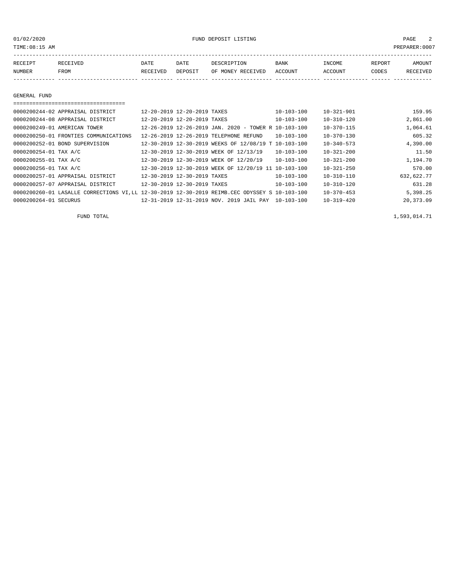01/02/2020 FUND DEPOSIT LISTING PAGE 2

| RECEIPT | RECEIVED | DATE     | DATE    | DESCRIPTION               | <b>BANK</b> | INCOME  | REPORT | <b>AMOUNT</b> |
|---------|----------|----------|---------|---------------------------|-------------|---------|--------|---------------|
| NUMBER  | FROM     | RECEIVED | DEPOSIT | OF MONEY RECEIVED ACCOUNT |             | ACCOUNT | CODES  | RECEIVED      |
|         |          |          |         |                           |             |         |        |               |

#### GENERAL FUND

| 0000200244-02 APPRAISAL DISTRICT                                                             | 12-20-2019 12-20-2019 TAXES                          | $10 - 103 - 100$ | $10 - 321 - 901$ | 159.95     |
|----------------------------------------------------------------------------------------------|------------------------------------------------------|------------------|------------------|------------|
| 0000200244-08 APPRAISAL DISTRICT                                                             | 12-20-2019 12-20-2019 TAXES                          | $10 - 103 - 100$ | $10 - 310 - 120$ | 2,861.00   |
| 0000200249-01 AMERICAN TOWER                                                                 | 12-26-2019 12-26-2019 JAN. 2020 - TOWER R 10-103-100 |                  | $10 - 370 - 115$ | 1,064.61   |
| 0000200250-01 FRONTIES COMMUNICATIONS                                                        | 12-26-2019 12-26-2019 TELEPHONE REFUND               | $10 - 103 - 100$ | $10 - 370 - 130$ | 605.32     |
| 0000200252-01 BOND SUPERVISION                                                               | 12-30-2019 12-30-2019 WEEKS OF 12/08/19 T 10-103-100 |                  | $10 - 340 - 573$ | 4,390.00   |
| 0000200254-01 TAX A/C                                                                        | 12-30-2019 12-30-2019 WEEK OF 12/13/19               | $10 - 103 - 100$ | $10 - 321 - 200$ | 11.50      |
| 0000200255-01 TAX A/C                                                                        | 12-30-2019 12-30-2019 WEEK OF 12/20/19               | $10 - 103 - 100$ | $10 - 321 - 200$ | 1,194.70   |
| 0000200256-01 TAX A/C                                                                        | 12-30-2019 12-30-2019 WEEK OF 12/20/19 11 10-103-100 |                  | $10 - 321 - 250$ | 570.00     |
| 0000200257-01 APPRAISAL DISTRICT                                                             | 12-30-2019 12-30-2019 TAXES                          | $10 - 103 - 100$ | $10 - 310 - 110$ | 632,622.77 |
| 0000200257-07 APPRAISAL DISTRICT                                                             | 12-30-2019 12-30-2019 TAXES                          | $10 - 103 - 100$ | $10 - 310 - 120$ | 631.28     |
| 0000200260-01 LASALLE CORRECTIONS VI.LL 12-30-2019 12-30-2019 REIMB.CEC ODYSSEY S 10-103-100 |                                                      |                  | $10 - 370 - 453$ | 5,398.25   |
| 0000200264-01 SECURUS                                                                        | 12-31-2019 12-31-2019 NOV. 2019 JAIL PAY 10-103-100  |                  | $10 - 319 - 420$ | 20,373.09  |

FUND TOTAL 1,593,014.71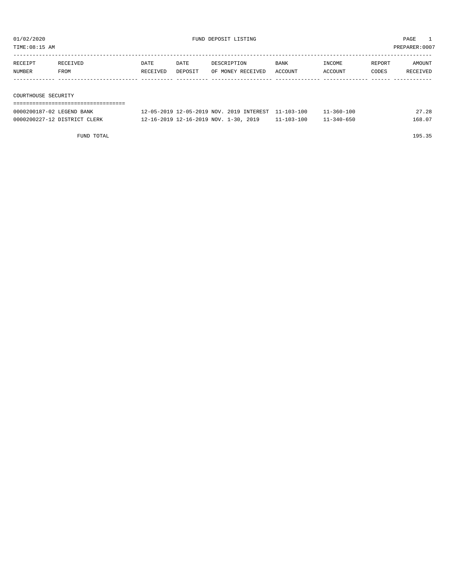TIME:08:15 AM PREPARER:0007

| RECEIPT             | RECEIVED | DATE     | DATE    | DESCRIPTION       | <b>BANK</b> | INCOME  | REPORT | AMOUNT   |  |  |
|---------------------|----------|----------|---------|-------------------|-------------|---------|--------|----------|--|--|
| NUMBER              | FROM     | RECEIVED | DEPOSIT | OF MONEY RECEIVED | ACCOUNT     | ACCOUNT | CODES  | RECEIVED |  |  |
|                     |          |          |         |                   |             |         |        |          |  |  |
|                     |          |          |         |                   |             |         |        |          |  |  |
| COURTHOUSE SECURITY |          |          |         |                   |             |         |        |          |  |  |
|                     |          |          |         |                   |             |         |        |          |  |  |

| 0000200187-02 LEGEND BANK    | 12-05-2019 12-05-2019 NOV, 2019 INTEREST 11-103-100 |                  | $1 - 360 - 100$ | 27.28  |
|------------------------------|-----------------------------------------------------|------------------|-----------------|--------|
| 0000200227-12 DISTRICT CLERK | 12-16-2019 12-16-2019 NOV. 1-30, 2019               | $11 - 103 - 100$ | 11-340-650      | 168.07 |

FUND TOTAL 195.35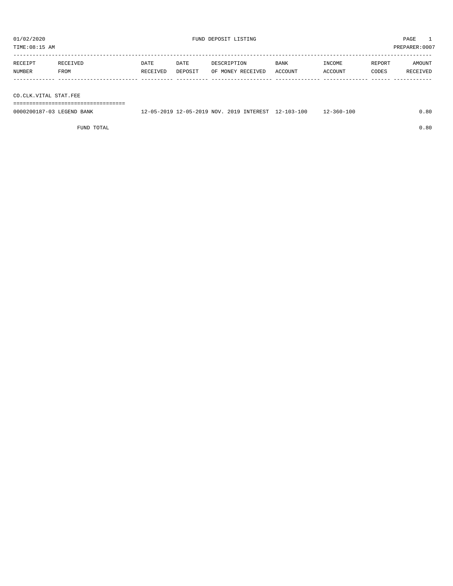| TIME:08:15 AM     |                  |                  |                 |                                  |                        |                   |                 | PREPARER: 0007     |
|-------------------|------------------|------------------|-----------------|----------------------------------|------------------------|-------------------|-----------------|--------------------|
| RECEIPT<br>NUMBER | RECEIVED<br>FROM | DATE<br>RECEIVED | DATE<br>DEPOSIT | DESCRIPTION<br>OF MONEY RECEIVED | <b>BANK</b><br>ACCOUNT | INCOME<br>ACCOUNT | REPORT<br>CODES | AMOUNT<br>RECEIVED |
|                   |                  |                  |                 |                                  |                        |                   |                 |                    |

CO.CLK.VITAL STAT.FEE

===================================

| 0000200187-03 LEGEND BANK | 12-05-2019 12-05-2019 NOV. 2019 INTEREST 12-103-100 |  | $12 - 360 - 100$ | 80. ر |
|---------------------------|-----------------------------------------------------|--|------------------|-------|
|                           |                                                     |  |                  |       |

FUND TOTAL 0.80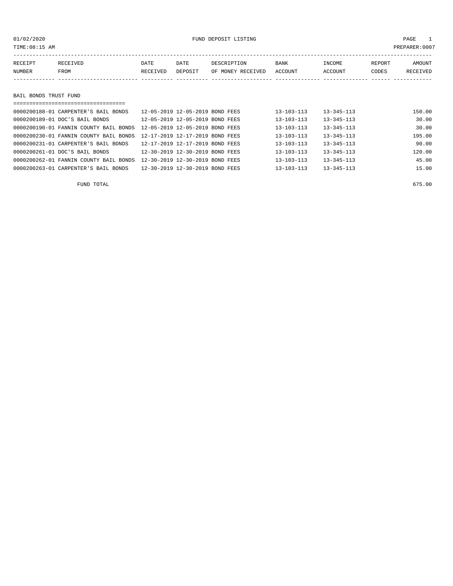## 01/02/2020 FUND DEPOSIT LISTING PAGE 1

| RECEIPT | RECEIVED | DATE     | DATE    | DESCRIPTION       | <b>BANK</b> | INCOME  | REPORT | AMOUNT          |
|---------|----------|----------|---------|-------------------|-------------|---------|--------|-----------------|
| NUMBER  | FROM     | RECEIVED | DEPOSIT | OF MONEY RECEIVED | ACCOUNT     | ACCOUNT | CODES  | <b>RECEIVED</b> |
|         |          |          |         |                   |             |         |        |                 |
|         |          |          |         |                   |             |         |        |                 |

### BAIL BONDS TRUST FUND

| 0000200188-01 CARPENTER'S BAIL BONDS   | 12-05-2019 12-05-2019 BOND FEES |  | $13 - 103 - 113$ | $13 - 345 - 113$ | 150.00 |
|----------------------------------------|---------------------------------|--|------------------|------------------|--------|
| 0000200189-01 DOC'S BAIL BONDS         | 12-05-2019 12-05-2019 BOND FEES |  | $13 - 103 - 113$ | $13 - 345 - 113$ | 30.00  |
| 0000200190-01 FANNIN COUNTY BAIL BONDS | 12-05-2019 12-05-2019 BOND FEES |  | $13 - 103 - 113$ | $13 - 345 - 113$ | 30.00  |
| 0000200230-01 FANNIN COUNTY BAIL BONDS | 12-17-2019 12-17-2019 BOND FEES |  | 13-103-113       | $13 - 345 - 113$ | 195.00 |
| 0000200231-01 CARPENTER'S BAIL BONDS   | 12-17-2019 12-17-2019 BOND FEES |  | $13 - 103 - 113$ | $13 - 345 - 113$ | 90.00  |
| 0000200261-01 DOC'S BAIL BONDS         | 12-30-2019 12-30-2019 BOND FEES |  | $13 - 103 - 113$ | $13 - 345 - 113$ | 120.00 |
| 0000200262-01 FANNIN COUNTY BAIL BONDS | 12-30-2019 12-30-2019 BOND FEES |  | $13 - 103 - 113$ | $13 - 345 - 113$ | 45.00  |
| 0000200263-01 CARPENTER'S BAIL BONDS   | 12-30-2019 12-30-2019 BOND FEES |  | $13 - 103 - 113$ | $13 - 345 - 113$ | 15.00  |

FUND TOTAL 675.00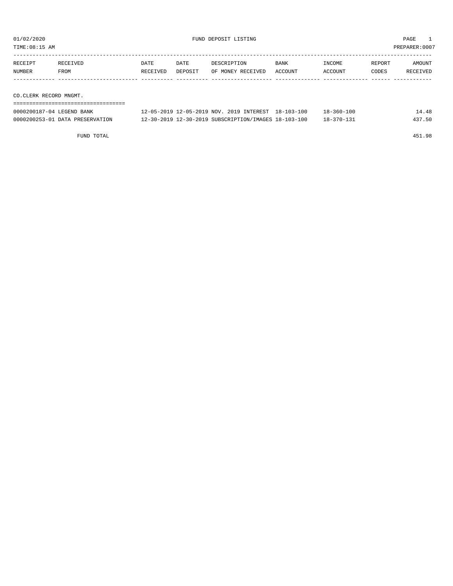TIME:08:15 AM PREPARER:0007

| RECEIPT | RECEIVED               | DATE     | DATE    | DESCRIPTION       | <b>BANK</b> | INCOME  | REPORT | AMOUNT   |  |  |
|---------|------------------------|----------|---------|-------------------|-------------|---------|--------|----------|--|--|
| NUMBER  | FROM                   | RECEIVED | DEPOSIT | OF MONEY RECEIVED | ACCOUNT     | ACCOUNT | CODES  | RECEIVED |  |  |
|         |                        |          |         |                   |             |         |        |          |  |  |
|         |                        |          |         |                   |             |         |        |          |  |  |
|         | CO.CLERK RECORD MNGMT. |          |         |                   |             |         |        |          |  |  |

| 0000200187-04 LEGEND BANK       | 12-05-2019 12-05-2019 NOV, 2019 INTEREST 18-103-100  | 18-360-100       | 14.48  |
|---------------------------------|------------------------------------------------------|------------------|--------|
| 0000200253-01 DATA PRESERVATION | 12-30-2019 12-30-2019 SUBSCRIPTION/IMAGES 18-103-100 | $18 - 370 - 131$ | 437.50 |

FUND TOTAL 451.98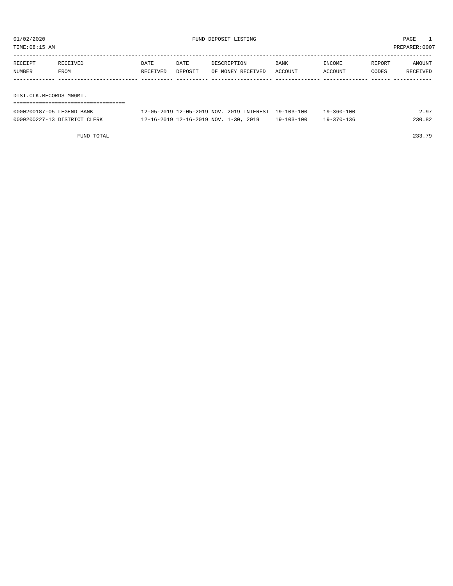TIME:08:15 AM PREPARER:0007

| RECEIPT                 | RECEIVED | DATE     | DATE    | DESCRIPTION       | <b>BANK</b> | INCOME  | REPORT | AMOUNT   |
|-------------------------|----------|----------|---------|-------------------|-------------|---------|--------|----------|
| NUMBER                  | FROM     | RECEIVED | DEPOSIT | OF MONEY RECEIVED | ACCOUNT     | ACCOUNT | CODES  | RECEIVED |
|                         |          |          |         |                   |             |         |        |          |
|                         |          |          |         |                   |             |         |        |          |
| DIST.CLK.RECORDS MNGMT. |          |          |         |                   |             |         |        |          |

| 0000200187-05 LEGEND BANK    | 12-05-2019 12-05-2019 NOV. 2019 INTEREST 19-103-100 |            | 19-360-100 | 2.97   |
|------------------------------|-----------------------------------------------------|------------|------------|--------|
| 0000200227-13 DISTRICT CLERK | 12-16-2019 12-16-2019 NOV. 1-30, 2019               | 19-103-100 | 19-370-136 | 230.82 |

FUND TOTAL 233.79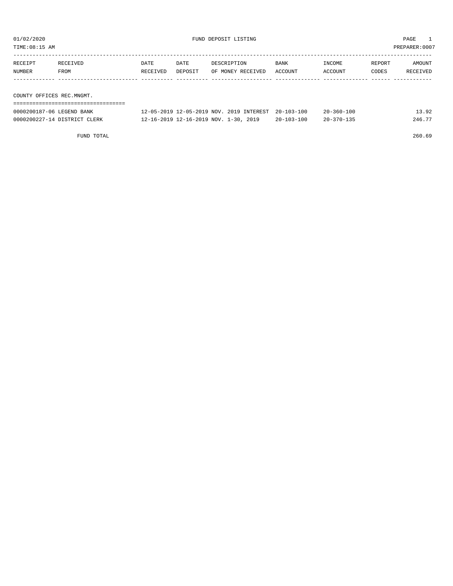| TIME:08:15 AM             |          |          |         |                   |         |         |        | PREPARER:0007        |
|---------------------------|----------|----------|---------|-------------------|---------|---------|--------|----------------------|
|                           |          |          |         |                   |         |         |        |                      |
| RECEIPT                   | RECEIVED | DATE     | DATE    | DESCRIPTION       | BANK    | INCOME  | REPORT | AMOUNT               |
| NUMBER                    | FROM     | RECEIVED | DEPOSIT | OF MONEY RECEIVED | ACCOUNT | ACCOUNT | CODES  | RECEIVED             |
|                           |          |          |         |                   |         |         |        |                      |
|                           |          |          |         |                   |         |         |        |                      |
| COUNTY OFFICES REC.MNGMT. |          |          |         |                   |         |         |        |                      |
|                           |          |          |         |                   |         |         |        |                      |
|                           |          |          |         |                   |         | .       |        | $\sim$ $\sim$ $\sim$ |

| 0000200187-06 LEGEND BANK    | 12-05-2019 12-05-2019 NOV. 2019 INTEREST |               | 20-103-100               | $20 - 360 - 100$ |        |
|------------------------------|------------------------------------------|---------------|--------------------------|------------------|--------|
| 0000200227-14 DISTRICT CLERK | 12-16-2019 12-16-2019 NOV.               | 2019<br>$-30$ | $-103 - 100$<br>$20 - 7$ | $20 - 370 - 135$ | 246.77 |

FUND TOTAL 260.69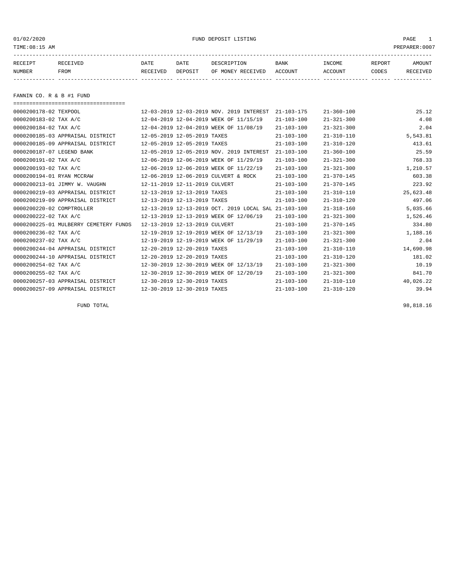01/02/2020 PUND DEPOSIT LISTING PAGE 1

| RECEIPT | <b>RECEIVED</b> | DATE     | DATE    | DESCRIPTION       | <b>BANK</b> | INCOME  | REPORT | AMOUNT          |
|---------|-----------------|----------|---------|-------------------|-------------|---------|--------|-----------------|
| NUMBER  | FROM            | RECEIVED | DEPOSIT | OF MONEY RECEIVED | ACCOUNT     | ACCOUNT | CODES  | <b>RECEIVED</b> |
|         |                 |          |         |                   |             |         |        |                 |

FANNIN CO. R & B #1 FUND

===================================

| 0000200178-02 TEXPOOL                 |                                      | 12-03-2019 12-03-2019 NOV. 2019 INTEREST             | $21 - 103 - 175$ | $21 - 360 - 100$ | 25.12     |
|---------------------------------------|--------------------------------------|------------------------------------------------------|------------------|------------------|-----------|
| 0000200183-02 TAX A/C                 |                                      | 12-04-2019 12-04-2019 WEEK OF 11/15/19               | $21 - 103 - 100$ | $21 - 321 - 300$ | 4.08      |
| 0000200184-02 TAX A/C                 |                                      | 12-04-2019 12-04-2019 WEEK OF 11/08/19               | $21 - 103 - 100$ | $21 - 321 - 300$ | 2.04      |
| 0000200185-03 APPRAISAL DISTRICT      | 12-05-2019 12-05-2019 TAXES          |                                                      | $21 - 103 - 100$ | $21 - 310 - 110$ | 5,543.81  |
| 0000200185-09 APPRAISAL DISTRICT      | 12-05-2019 12-05-2019 TAXES          |                                                      | $21 - 103 - 100$ | $21 - 310 - 120$ | 413.61    |
| 0000200187-07 LEGEND BANK             |                                      | 12-05-2019 12-05-2019 NOV. 2019 INTEREST             | $21 - 103 - 100$ | $21 - 360 - 100$ | 25.59     |
| 0000200191-02 TAX A/C                 |                                      | 12-06-2019 12-06-2019 WEEK OF 11/29/19               | $21 - 103 - 100$ | $21 - 321 - 300$ | 768.33    |
| 0000200193-02 TAX A/C                 |                                      | 12-06-2019 12-06-2019 WEEK OF 11/22/19               | $21 - 103 - 100$ | $21 - 321 - 300$ | 1,210.57  |
| 0000200194-01 RYAN MCCRAW             | 12-06-2019 12-06-2019 CULVERT & ROCK |                                                      | $21 - 103 - 100$ | $21 - 370 - 145$ | 603.38    |
| 0000200213-01 JIMMY W. VAUGHN         | 12-11-2019 12-11-2019 CULVERT        |                                                      | $21 - 103 - 100$ | $21 - 370 - 145$ | 223.92    |
| 0000200219-03 APPRAISAL DISTRICT      | 12-13-2019 12-13-2019 TAXES          |                                                      | $21 - 103 - 100$ | $21 - 310 - 110$ | 25,623.48 |
| 0000200219-09 APPRAISAL DISTRICT      | 12-13-2019 12-13-2019 TAXES          |                                                      | $21 - 103 - 100$ | $21 - 310 - 120$ | 497.06    |
| 0000200220-02 COMPTROLLER             |                                      | 12-13-2019 12-13-2019 OCT. 2019 LOCAL SAL 21-103-100 |                  | $21 - 318 - 160$ | 5,035.66  |
| 0000200222-02 TAX A/C                 |                                      | 12-13-2019 12-13-2019 WEEK OF 12/06/19               | $21 - 103 - 100$ | $21 - 321 - 300$ | 1,526.46  |
| 0000200225-01 MULBERRY CEMETERY FUNDS | 12-13-2019 12-13-2019 CULVERT        |                                                      | $21 - 103 - 100$ | $21 - 370 - 145$ | 334.80    |
| 0000200236-02 TAX A/C                 |                                      | 12-19-2019 12-19-2019 WEEK OF 12/13/19               | $21 - 103 - 100$ | $21 - 321 - 300$ | 1,188.16  |
| 0000200237-02 TAX A/C                 |                                      | 12-19-2019 12-19-2019 WEEK OF 11/29/19               | $21 - 103 - 100$ | $21 - 321 - 300$ | 2.04      |
| 0000200244-04 APPRAISAL DISTRICT      | 12-20-2019 12-20-2019 TAXES          |                                                      | $21 - 103 - 100$ | $21 - 310 - 110$ | 14,690.98 |
| 0000200244-10 APPRAISAL DISTRICT      | 12-20-2019 12-20-2019 TAXES          |                                                      | $21 - 103 - 100$ | $21 - 310 - 120$ | 181.02    |
| 0000200254-02 TAX A/C                 |                                      | 12-30-2019 12-30-2019 WEEK OF 12/13/19               | $21 - 103 - 100$ | $21 - 321 - 300$ | 10.19     |
| 0000200255-02 TAX A/C                 |                                      | 12-30-2019 12-30-2019 WEEK OF 12/20/19               | $21 - 103 - 100$ | $21 - 321 - 300$ | 841.70    |
| 0000200257-03 APPRAISAL DISTRICT      | 12-30-2019 12-30-2019 TAXES          |                                                      | $21 - 103 - 100$ | $21 - 310 - 110$ | 40,026.22 |
| 0000200257-09 APPRAISAL DISTRICT      | 12-30-2019 12-30-2019 TAXES          |                                                      | $21 - 103 - 100$ | $21 - 310 - 120$ | 39.94     |

FUND TOTAL 98,818.16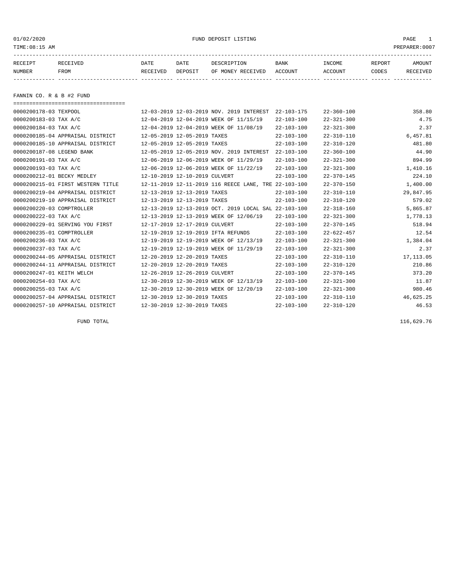01/02/2020 PUND DEPOSIT LISTING PAGE 1

| RECEIPT | <b>RECEIVED</b> | DATE     | DATE    | DESCRIPTION       | <b>BANK</b> | INCOME  | REPORT | AMOUNT          |
|---------|-----------------|----------|---------|-------------------|-------------|---------|--------|-----------------|
| NUMBER  | FROM            | RECEIVED | DEPOSIT | OF MONEY RECEIVED | ACCOUNT     | ACCOUNT | CODES  | <b>RECEIVED</b> |
|         |                 |          |         |                   |             |         |        |                 |

FANNIN CO. R & B #2 FUND

| ==================================== |                               |                                                      |                  |                  |            |
|--------------------------------------|-------------------------------|------------------------------------------------------|------------------|------------------|------------|
| 0000200178-03 TEXPOOL                |                               | 12-03-2019 12-03-2019 NOV. 2019 INTEREST             | $22 - 103 - 175$ | $22 - 360 - 100$ | 358.80     |
| 0000200183-03 TAX A/C                |                               | 12-04-2019 12-04-2019 WEEK OF 11/15/19               | $22 - 103 - 100$ | $22 - 321 - 300$ | 4.75       |
| 0000200184-03 TAX A/C                |                               | 12-04-2019 12-04-2019 WEEK OF 11/08/19               | $22 - 103 - 100$ | $22 - 321 - 300$ | 2.37       |
| 0000200185-04 APPRAISAL DISTRICT     | 12-05-2019 12-05-2019 TAXES   |                                                      | $22 - 103 - 100$ | $22 - 310 - 110$ | 6,457.81   |
| 0000200185-10 APPRAISAL DISTRICT     | 12-05-2019 12-05-2019 TAXES   |                                                      | $22 - 103 - 100$ | $22 - 310 - 120$ | 481.80     |
| 0000200187-08 LEGEND BANK            |                               | 12-05-2019 12-05-2019 NOV. 2019 INTEREST             | $22 - 103 - 100$ | $22 - 360 - 100$ | 44.90      |
| 0000200191-03 TAX A/C                |                               | 12-06-2019 12-06-2019 WEEK OF 11/29/19               | $22 - 103 - 100$ | $22 - 321 - 300$ | 894.99     |
| 0000200193-03 TAX A/C                |                               | 12-06-2019 12-06-2019 WEEK OF 11/22/19               | $22 - 103 - 100$ | $22 - 321 - 300$ | 1,410.16   |
| 0000200212-01 BECKY MEDLEY           | 12-10-2019 12-10-2019 CULVERT |                                                      | $22 - 103 - 100$ | $22 - 370 - 145$ | 224.10     |
| 0000200215-01 FIRST WESTERN TITLE    |                               | 12-11-2019 12-11-2019 116 REECE LANE, TRE 22-103-100 |                  | $22 - 370 - 150$ | 1,400.00   |
| 0000200219-04 APPRAISAL DISTRICT     | 12-13-2019 12-13-2019 TAXES   |                                                      | $22 - 103 - 100$ | $22 - 310 - 110$ | 29,847.95  |
| 0000200219-10 APPRAISAL DISTRICT     | 12-13-2019 12-13-2019 TAXES   |                                                      | $22 - 103 - 100$ | $22 - 310 - 120$ | 579.02     |
| 0000200220-03 COMPTROLLER            |                               | 12-13-2019 12-13-2019 OCT. 2019 LOCAL SAL 22-103-100 |                  | $22 - 318 - 160$ | 5,865.87   |
| 0000200222-03 TAX A/C                |                               | 12-13-2019 12-13-2019 WEEK OF 12/06/19               | $22 - 103 - 100$ | $22 - 321 - 300$ | 1,778.13   |
| 0000200229-01 SERVING YOU FIRST      | 12-17-2019 12-17-2019 CULVERT |                                                      | $22 - 103 - 100$ | $22 - 370 - 145$ | 518.94     |
| 0000200235-01 COMPTROLLER            |                               | 12-19-2019 12-19-2019 IFTA REFUNDS                   | $22 - 103 - 100$ | $22 - 622 - 457$ | 12.54      |
| 0000200236-03 TAX A/C                |                               | 12-19-2019 12-19-2019 WEEK OF 12/13/19               | $22 - 103 - 100$ | $22 - 321 - 300$ | 1,384.04   |
| 0000200237-03 TAX A/C                |                               | 12-19-2019 12-19-2019 WEEK OF 11/29/19               | $22 - 103 - 100$ | $22 - 321 - 300$ | 2.37       |
| 0000200244-05 APPRAISAL DISTRICT     | 12-20-2019 12-20-2019 TAXES   |                                                      | $22 - 103 - 100$ | $22 - 310 - 110$ | 17, 113.05 |
| 0000200244-11 APPRAISAL DISTRICT     | 12-20-2019 12-20-2019 TAXES   |                                                      | $22 - 103 - 100$ | $22 - 310 - 120$ | 210.86     |
| 0000200247-01 KEITH WELCH            | 12-26-2019 12-26-2019 CULVERT |                                                      | $22 - 103 - 100$ | $22 - 370 - 145$ | 373.20     |
| 0000200254-03 TAX A/C                |                               | 12-30-2019 12-30-2019 WEEK OF 12/13/19               | $22 - 103 - 100$ | $22 - 321 - 300$ | 11.87      |
| 0000200255-03 TAX A/C                |                               | 12-30-2019 12-30-2019 WEEK OF 12/20/19               | $22 - 103 - 100$ | $22 - 321 - 300$ | 980.46     |
| 0000200257-04 APPRAISAL DISTRICT     | 12-30-2019 12-30-2019 TAXES   |                                                      | $22 - 103 - 100$ | $22 - 310 - 110$ | 46,625.25  |
| 0000200257-10 APPRAISAL DISTRICT     | 12-30-2019 12-30-2019 TAXES   |                                                      | $22 - 103 - 100$ | $22 - 310 - 120$ | 46.53      |

FUND TOTAL 116,629.76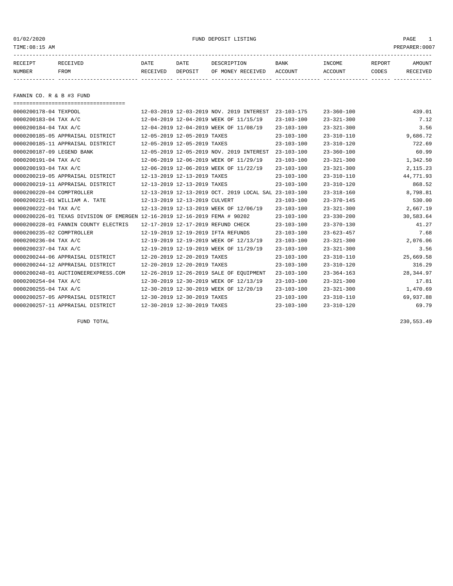01/02/2020 PUND DEPOSIT LISTING PAGE 1

| RECEIPT | <b>RECEIVED</b> | DATE     | DATE    | DESCRIPTION       | <b>BANK</b> | <b>TNCOME</b> | REPORT | AMOUNT          |
|---------|-----------------|----------|---------|-------------------|-------------|---------------|--------|-----------------|
| NUMBER  | <b>FROM</b>     | RECEIVED | DEPOSIT | OF MONEY RECEIVED | ACCOUNT     | ACCOUNT       | CODES  | <b>RECEIVED</b> |
|         |                 |          |         |                   |             |               |        |                 |

FANNIN CO. R & B #3 FUND

| ====================================                                       |                               |                                                      |                  |                  |            |
|----------------------------------------------------------------------------|-------------------------------|------------------------------------------------------|------------------|------------------|------------|
| 0000200178-04 TEXPOOL                                                      |                               | 12-03-2019 12-03-2019 NOV. 2019 INTEREST             | $23 - 103 - 175$ | $23 - 360 - 100$ | 439.01     |
| 0000200183-04 TAX A/C                                                      |                               | 12-04-2019 12-04-2019 WEEK OF 11/15/19               | $23 - 103 - 100$ | $23 - 321 - 300$ | 7.12       |
| 0000200184-04 TAX A/C                                                      |                               | 12-04-2019 12-04-2019 WEEK OF 11/08/19               | $23 - 103 - 100$ | $23 - 321 - 300$ | 3.56       |
| 0000200185-05 APPRAISAL DISTRICT                                           | 12-05-2019 12-05-2019 TAXES   |                                                      | $23 - 103 - 100$ | $23 - 310 - 110$ | 9,686.72   |
| 0000200185-11 APPRAISAL DISTRICT                                           | 12-05-2019 12-05-2019 TAXES   |                                                      | $23 - 103 - 100$ | $23 - 310 - 120$ | 722.69     |
| 0000200187-09 LEGEND BANK                                                  |                               | 12-05-2019 12-05-2019 NOV. 2019 INTEREST             | $23 - 103 - 100$ | $23 - 360 - 100$ | 60.99      |
| 0000200191-04 TAX A/C                                                      |                               | 12-06-2019 12-06-2019 WEEK OF 11/29/19               | $23 - 103 - 100$ | $23 - 321 - 300$ | 1,342.50   |
| 0000200193-04 TAX A/C                                                      |                               | 12-06-2019 12-06-2019 WEEK OF 11/22/19               | $23 - 103 - 100$ | $23 - 321 - 300$ | 2,115.23   |
| 0000200219-05 APPRAISAL DISTRICT                                           | 12-13-2019 12-13-2019 TAXES   |                                                      | $23 - 103 - 100$ | $23 - 310 - 110$ | 44,771.93  |
| 0000200219-11 APPRAISAL DISTRICT                                           | 12-13-2019 12-13-2019 TAXES   |                                                      | $23 - 103 - 100$ | $23 - 310 - 120$ | 868.52     |
| 0000200220-04 COMPTROLLER                                                  |                               | 12-13-2019 12-13-2019 OCT. 2019 LOCAL SAL 23-103-100 |                  | $23 - 318 - 160$ | 8,798.81   |
| 0000200221-01 WILLIAM A. TATE                                              | 12-13-2019 12-13-2019 CULVERT |                                                      | $23 - 103 - 100$ | $23 - 370 - 145$ | 530.00     |
| 0000200222-04 TAX A/C                                                      |                               | 12-13-2019 12-13-2019 WEEK OF 12/06/19               | $23 - 103 - 100$ | $23 - 321 - 300$ | 2,667.19   |
| 0000200226-01 TEXAS DIVISION OF EMERGEN 12-16-2019 12-16-2019 FEMA # 90202 |                               |                                                      | $23 - 103 - 100$ | $23 - 330 - 200$ | 30,583.64  |
| 0000200228-01 FANNIN COUNTY ELECTRIS                                       |                               | 12-17-2019 12-17-2019 REFUND CHECK                   | $23 - 103 - 100$ | $23 - 370 - 130$ | 41.27      |
| 0000200235-02 COMPTROLLER                                                  |                               | 12-19-2019 12-19-2019 IFTA REFUNDS                   | $23 - 103 - 100$ | $23 - 623 - 457$ | 7.68       |
| 0000200236-04 TAX A/C                                                      |                               | 12-19-2019 12-19-2019 WEEK OF 12/13/19               | $23 - 103 - 100$ | $23 - 321 - 300$ | 2,076.06   |
| 0000200237-04 TAX A/C                                                      |                               | 12-19-2019 12-19-2019 WEEK OF 11/29/19               | $23 - 103 - 100$ | $23 - 321 - 300$ | 3.56       |
| 0000200244-06 APPRAISAL DISTRICT                                           | 12-20-2019 12-20-2019 TAXES   |                                                      | $23 - 103 - 100$ | $23 - 310 - 110$ | 25,669.58  |
| 0000200244-12 APPRAISAL DISTRICT                                           | 12-20-2019 12-20-2019 TAXES   |                                                      | $23 - 103 - 100$ | $23 - 310 - 120$ | 316.29     |
| 0000200248-01 AUCTIONEEREXPRESS.COM                                        |                               | 12-26-2019 12-26-2019 SALE OF EQUIPMENT              | $23 - 103 - 100$ | $23 - 364 - 163$ | 28, 344.97 |
| 0000200254-04 TAX A/C                                                      |                               | 12-30-2019 12-30-2019 WEEK OF 12/13/19               | $23 - 103 - 100$ | $23 - 321 - 300$ | 17.81      |
| 0000200255-04 TAX A/C                                                      |                               | 12-30-2019 12-30-2019 WEEK OF 12/20/19               | $23 - 103 - 100$ | $23 - 321 - 300$ | 1,470.69   |
| 0000200257-05 APPRAISAL DISTRICT                                           | 12-30-2019 12-30-2019 TAXES   |                                                      | $23 - 103 - 100$ | $23 - 310 - 110$ | 69,937.88  |
| 0000200257-11 APPRAISAL DISTRICT                                           | 12-30-2019 12-30-2019 TAXES   |                                                      | $23 - 103 - 100$ | $23 - 310 - 120$ | 69.79      |

FUND TOTAL 230,553.49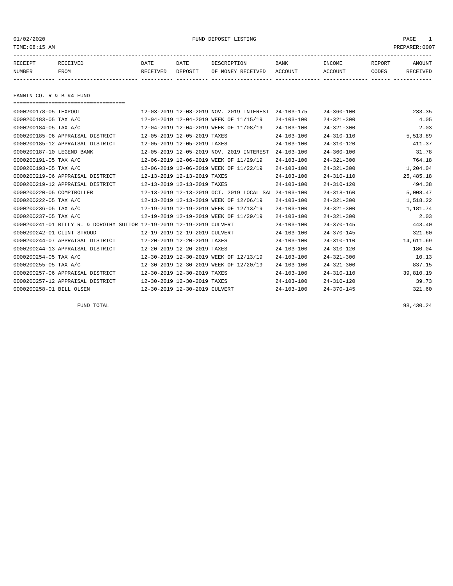01/02/2020 PUND DEPOSIT LISTING PAGE 1

| RECEIPT | RECEIVED | DATE     | DATE    | DESCRIPTION       | <b>BANK</b> | INCOME  | REPORT | AMOUNT   |
|---------|----------|----------|---------|-------------------|-------------|---------|--------|----------|
| NUMBER  | FROM     | RECEIVED | DEPOSIT | OF MONEY RECEIVED | ACCOUNT     | ACCOUNT | CODES  | RECEIVED |
|         |          |          |         |                   |             |         |        |          |

FANNIN CO. R & B #4 FUND

===================================

| 0000200178-05 TEXPOOL            |                                                                       |                               | 12-03-2019 12-03-2019 NOV. 2019 INTEREST  | $24 - 103 - 175$ | $24 - 360 - 100$ | 233.35      |
|----------------------------------|-----------------------------------------------------------------------|-------------------------------|-------------------------------------------|------------------|------------------|-------------|
| 0000200183-05 TAX A/C            |                                                                       |                               | 12-04-2019 12-04-2019 WEEK OF 11/15/19    | $24 - 103 - 100$ | $24 - 321 - 300$ | 4.05        |
| 0000200184-05 TAX A/C            |                                                                       |                               | 12-04-2019 12-04-2019 WEEK OF 11/08/19    | $24 - 103 - 100$ | $24 - 321 - 300$ | 2.03        |
| 0000200185-06 APPRAISAL DISTRICT |                                                                       | 12-05-2019 12-05-2019 TAXES   |                                           | $24 - 103 - 100$ | $24 - 310 - 110$ | 5,513.89    |
| 0000200185-12 APPRAISAL DISTRICT |                                                                       | 12-05-2019 12-05-2019 TAXES   |                                           | $24 - 103 - 100$ | $24 - 310 - 120$ | 411.37      |
| 0000200187-10 LEGEND BANK        |                                                                       |                               | 12-05-2019 12-05-2019 NOV. 2019 INTEREST  | $24 - 103 - 100$ | $24 - 360 - 100$ | 31.78       |
| 0000200191-05 TAX A/C            |                                                                       |                               | 12-06-2019 12-06-2019 WEEK OF 11/29/19    | $24 - 103 - 100$ | $24 - 321 - 300$ | 764.18      |
| 0000200193-05 TAX A/C            |                                                                       |                               | 12-06-2019 12-06-2019 WEEK OF 11/22/19    | $24 - 103 - 100$ | $24 - 321 - 300$ | 1,204.04    |
| 0000200219-06 APPRAISAL DISTRICT |                                                                       | 12-13-2019 12-13-2019 TAXES   |                                           | $24 - 103 - 100$ | $24 - 310 - 110$ | 25, 485. 18 |
| 0000200219-12 APPRAISAL DISTRICT |                                                                       | 12-13-2019 12-13-2019 TAXES   |                                           | $24 - 103 - 100$ | $24 - 310 - 120$ | 494.38      |
| 0000200220-05 COMPTROLLER        |                                                                       |                               | 12-13-2019 12-13-2019 OCT. 2019 LOCAL SAL | $24 - 103 - 100$ | $24 - 318 - 160$ | 5,008.47    |
| 0000200222-05 TAX A/C            |                                                                       |                               | 12-13-2019 12-13-2019 WEEK OF 12/06/19    | $24 - 103 - 100$ | $24 - 321 - 300$ | 1,518.22    |
| 0000200236-05 TAX A/C            |                                                                       |                               | 12-19-2019 12-19-2019 WEEK OF 12/13/19    | $24 - 103 - 100$ | $24 - 321 - 300$ | 1,181.74    |
| 0000200237-05 TAX A/C            |                                                                       |                               | 12-19-2019 12-19-2019 WEEK OF 11/29/19    | $24 - 103 - 100$ | $24 - 321 - 300$ | 2.03        |
|                                  | 0000200241-01 BILLY R. & DOROTHY SUITOR 12-19-2019 12-19-2019 CULVERT |                               |                                           | $24 - 103 - 100$ | $24 - 370 - 145$ | 443.40      |
| 0000200242-01 CLINT STROUD       |                                                                       | 12-19-2019 12-19-2019 CULVERT |                                           | $24 - 103 - 100$ | $24 - 370 - 145$ | 321.60      |
| 0000200244-07 APPRAISAL DISTRICT |                                                                       | 12-20-2019 12-20-2019 TAXES   |                                           | $24 - 103 - 100$ | $24 - 310 - 110$ | 14,611.69   |
| 0000200244-13 APPRAISAL DISTRICT |                                                                       | 12-20-2019 12-20-2019 TAXES   |                                           | $24 - 103 - 100$ | $24 - 310 - 120$ | 180.04      |
| 0000200254-05 TAX A/C            |                                                                       |                               | 12-30-2019 12-30-2019 WEEK OF 12/13/19    | $24 - 103 - 100$ | $24 - 321 - 300$ | 10.13       |
| 0000200255-05 TAX A/C            |                                                                       |                               | 12-30-2019 12-30-2019 WEEK OF 12/20/19    | $24 - 103 - 100$ | $24 - 321 - 300$ | 837.15      |
| 0000200257-06 APPRAISAL DISTRICT |                                                                       | 12-30-2019 12-30-2019 TAXES   |                                           | $24 - 103 - 100$ | $24 - 310 - 110$ | 39,810.19   |
| 0000200257-12 APPRAISAL DISTRICT |                                                                       | 12-30-2019 12-30-2019 TAXES   |                                           | $24 - 103 - 100$ | $24 - 310 - 120$ | 39.73       |
| 0000200258-01 BILL OLSEN         |                                                                       | 12-30-2019 12-30-2019 CULVERT |                                           | $24 - 103 - 100$ | $24 - 370 - 145$ | 321.60      |
|                                  |                                                                       |                               |                                           |                  |                  |             |

FUND TOTAL 98,430.24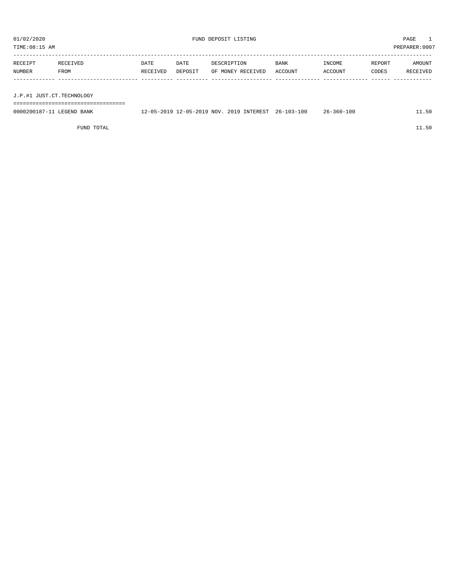| TIME:08:15 AM             |          |          |         |                   |         |         | PREPARER:0007 |          |
|---------------------------|----------|----------|---------|-------------------|---------|---------|---------------|----------|
| RECEIPT                   | RECEIVED | DATE     | DATE    | DESCRIPTION       | BANK    | INCOME  | REPORT        | AMOUNT   |
| NUMBER                    | FROM     | RECEIVED | DEPOSIT | OF MONEY RECEIVED | ACCOUNT | ACCOUNT | CODES         | RECEIVED |
|                           |          |          |         |                   |         |         |               |          |
|                           |          |          |         |                   |         |         |               |          |
| J.P.#1 JUST.CT.TECHNOLOGY |          |          |         |                   |         |         |               |          |
|                           |          |          |         |                   |         |         |               |          |

0000200187-11 LEGEND BANK 12-05-2019 12-05-2019 NOV. 2019 INTEREST 26-103-100 26-360-100 11.50

FUND TOTAL  $11.50$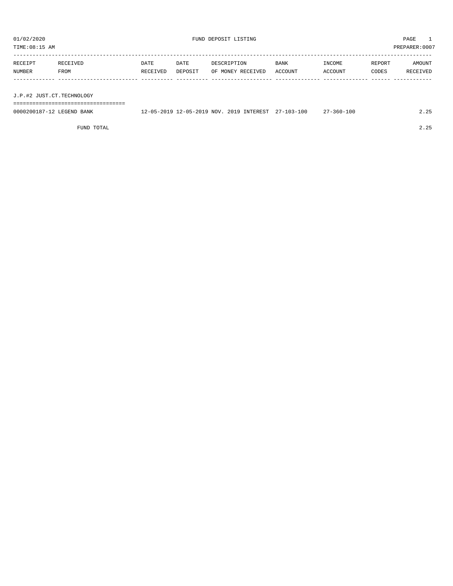| 01/02/2020<br>TIME:08:15 AM |                  |                  |                 | FUND DEPOSIT LISTING             |                        |                   |                 | PAGE<br>PREPARER: 0007 |
|-----------------------------|------------------|------------------|-----------------|----------------------------------|------------------------|-------------------|-----------------|------------------------|
| RECEIPT<br>NUMBER           | RECEIVED<br>FROM | DATE<br>RECEIVED | DATE<br>DEPOSIT | DESCRIPTION<br>OF MONEY RECEIVED | <b>BANK</b><br>ACCOUNT | INCOME<br>ACCOUNT | REPORT<br>CODES | AMOUNT<br>RECEIVED     |
| J.P.#2 JUST.CT.TECHNOLOGY   |                  |                  |                 |                                  |                        |                   |                 |                        |
|                             |                  |                  |                 |                                  |                        |                   |                 |                        |

| 0000200<br>BANK<br>a'NTP | 2019<br>NOV.<br><b>0010</b><br>nn - | 100<br>$\sim$ $\sim$<br>TNTEREST<br>$\cap$ | ົ<br>.3 b U =<br>. . U U | $\cap$ |
|--------------------------|-------------------------------------|--------------------------------------------|--------------------------|--------|
|                          |                                     |                                            |                          |        |

FUND TOTAL 2.25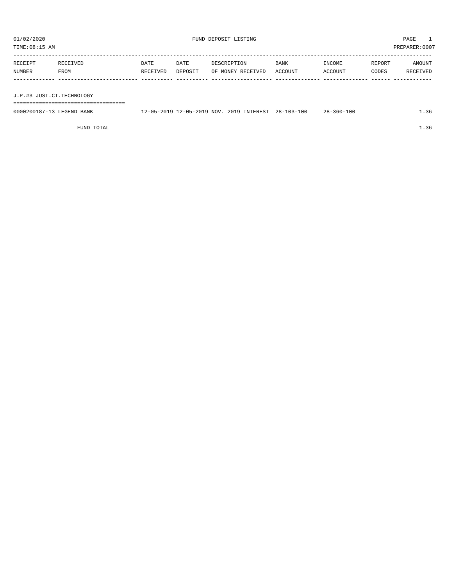PREPARER:0007

| 01/02/2020<br>TIME:08:15 AM |                  |                  |                 | FUND DEPOSIT LISTING             |                 |                   |                 | $\overline{1}$<br>PAGE<br>PREPARER: 000' |
|-----------------------------|------------------|------------------|-----------------|----------------------------------|-----------------|-------------------|-----------------|------------------------------------------|
| RECEIPT<br>NUMBER           | RECEIVED<br>FROM | DATE<br>RECEIVED | DATE<br>DEPOSIT | DESCRIPTION<br>OF MONEY RECEIVED | BANK<br>ACCOUNT | INCOME<br>ACCOUNT | REPORT<br>CODES | AMOUNT<br>RECEIVED                       |
| J.P.#3 JUST.CT.TECHNOLOGY   |                  |                  |                 |                                  |                 |                   |                 |                                          |

| 0000200187-13 LEGEND BANK | 12-05-2019 12-05-2019 NOV. 2019 INTEREST 28-103-100 | 28-360-100 | ⊥.36 |
|---------------------------|-----------------------------------------------------|------------|------|
|                           |                                                     |            |      |

FUND TOTAL  $1.36$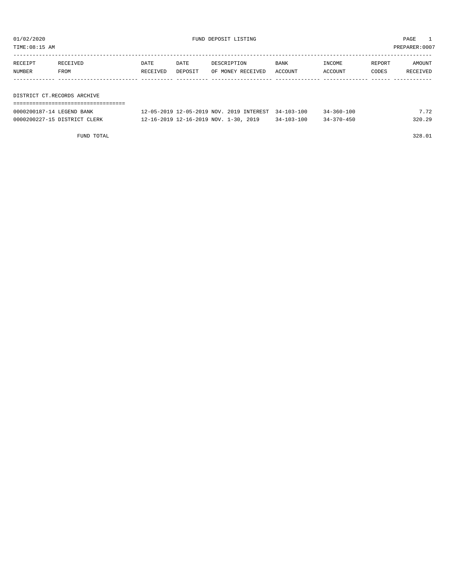TIME:08:15 AM PREPARER:0007

| RECEIPT                     | RECEIVED | DATE     | DATE    | DESCRIPTION       | <b>BANK</b> | INCOME  | REPORT | AMOUNT   |
|-----------------------------|----------|----------|---------|-------------------|-------------|---------|--------|----------|
| NUMBER                      | FROM     | RECEIVED | DEPOSIT | OF MONEY RECEIVED | ACCOUNT     | ACCOUNT | CODES  | RECEIVED |
|                             |          |          |         |                   |             |         |        |          |
|                             |          |          |         |                   |             |         |        |          |
| DISTRICT CT.RECORDS ARCHIVE |          |          |         |                   |             |         |        |          |

| DISINICI CI.NECUNDS ARCHIVE |  |
|-----------------------------|--|
|                             |  |
|                             |  |

| 0000200187-14 LEGEND BANK    | 12-05-2019 12-05-2019 NOV. 2019 INTEREST 34-103-100 |            | $34 - 360 - 100$ | 7.72   |
|------------------------------|-----------------------------------------------------|------------|------------------|--------|
| 0000200227-15 DISTRICT CLERK | 12-16-2019 12-16-2019 NOV. 1-30, 2019               | 34-103-100 | $34 - 370 - 450$ | 320.29 |

FUND TOTAL 328.01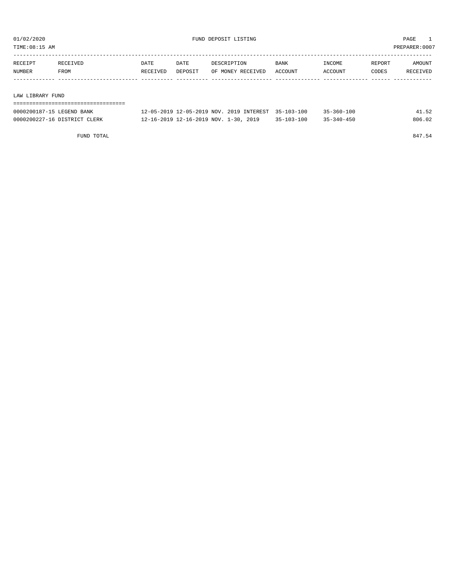TIME:08:15 AM PREPARER:0007

| RECEIPT | RECEIVED | DATE     | DATE    | DESCRIPTION       | <b>BANK</b> | INCOME  | REPORT | AMOUNT   |
|---------|----------|----------|---------|-------------------|-------------|---------|--------|----------|
| NUMBER  | FROM     | RECEIVED | DEPOSIT | OF MONEY RECEIVED | ACCOUNT     | ACCOUNT | CODES  | RECEIVED |
|         |          |          |         |                   |             |         |        |          |
|         |          |          |         |                   |             |         |        |          |

LAW LIBRARY FUND

| 0000200187-15 LEGEND BANK    | 12-05-2019 12-05-2019 NOV 2019 INTEREST 35-103-100 |                  | $35 - 360 - 100$ | 41.52  |
|------------------------------|----------------------------------------------------|------------------|------------------|--------|
| 0000200227-16 DISTRICT CLERK | 12-16-2019 12-16-2019 NOV. 1-30, 2019              | $35 - 103 - 100$ | 35-340-450       | 806.02 |

FUND TOTAL 847.54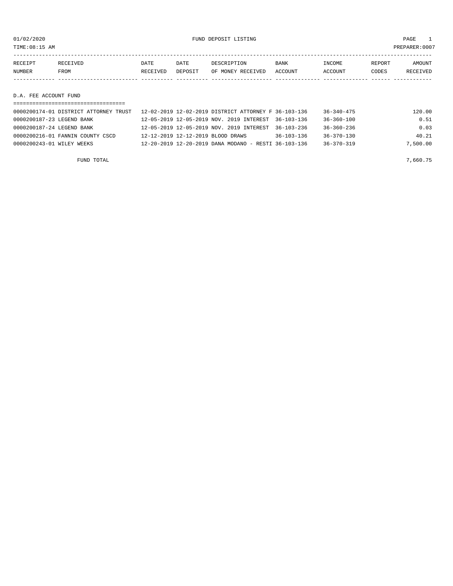01/02/2020 FUND DEPOSIT LISTING PAGE 1

| RECEIPT                          | RECEIVED | <b>DATE</b> | DATE    | DESCRIPTION       | <b>BANK</b> | INCOME  | REPORT | <b>AMOUNT</b> |
|----------------------------------|----------|-------------|---------|-------------------|-------------|---------|--------|---------------|
| <b>NUMBER</b>                    | FROM     | RECEIVED    | DEPOSIT | OF MONEY RECEIVED | ACCOUNT     | ACCOUNT | CODES  | RECEIVED      |
|                                  |          |             |         |                   |             |         |        |               |
|                                  |          |             |         |                   |             |         |        |               |
| ____ _ _ _ _ _ _ _ _ _ _<br>$ -$ |          |             |         |                   |             |         |        |               |

D.A. FEE ACCOUNT FUND

| =============================         |                                                      |                  |                  |          |
|---------------------------------------|------------------------------------------------------|------------------|------------------|----------|
| 0000200174-01 DISTRICT ATTORNEY TRUST | 12-02-2019 12-02-2019 DISTRICT ATTORNEY F 36-103-136 |                  | $36 - 340 - 475$ | 120.00   |
| 0000200187-23 LEGEND BANK             | 12-05-2019 12-05-2019 NOV, 2019 INTEREST 36-103-136  |                  | $36 - 360 - 100$ | 0.51     |
| 0000200187-24 LEGEND BANK             | 12-05-2019 12-05-2019 NOV. 2019 INTEREST             | 36-103-236       | $36 - 360 - 236$ | 0.03     |
| 0000200216-01 FANNIN COUNTY CSCD      | 12-12-2019 12-12-2019 BLOOD DRAWS                    | $36 - 103 - 136$ | $36 - 370 - 130$ | 40.21    |
| 0000200243-01 WILEY WEEKS             | 12-20-2019 12-20-2019 DANA MODANO - RESTI 36-103-136 |                  | $36 - 370 - 319$ | 7,500.00 |
|                                       |                                                      |                  |                  |          |

FUND TOTAL  $7,660.75$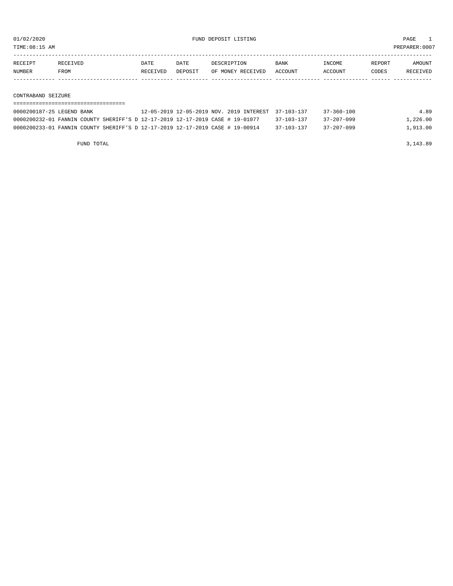TIME:08:15 AM PREPARER:0007

| RECEIPT | <b>RECEIVED</b> | DATE            | DATE    | DESCRIPTION       | <b>BANK</b> | 'NCOME        | REPORT | NMOUNT          |
|---------|-----------------|-----------------|---------|-------------------|-------------|---------------|--------|-----------------|
| NUMBER  | FROM            | <b>RECEIVED</b> | DEPOSIT | OF MONEY RECEIVED | ACCOUNT     | <b>CCOUNT</b> | CODES  | <b>RECEIVED</b> |
|         |                 |                 |         |                   |             |               |        |                 |

#### CONTRABAND SEIZURE

#### ===================================

| 0000200187-25 LEGEND BANK                                                     | 12-05-2019 12-05-2019 NOV. 2019 INTEREST 37-103-137 |                  | $37 - 360 - 100$ | 4.89     |
|-------------------------------------------------------------------------------|-----------------------------------------------------|------------------|------------------|----------|
| 0000200232-01 FANNIN COUNTY SHERIFF'S D 12-17-2019 12-17-2019 CASE # 19-01077 |                                                     | 37-103-137       | $37 - 207 - 099$ | 1,226.00 |
| 0000200233-01 FANNIN COUNTY SHERIFF'S D 12-17-2019 12-17-2019 CASE # 19-00914 |                                                     | $37 - 103 - 137$ | $37 - 207 - 099$ | 1,913.00 |

FUND TOTAL 3,143.89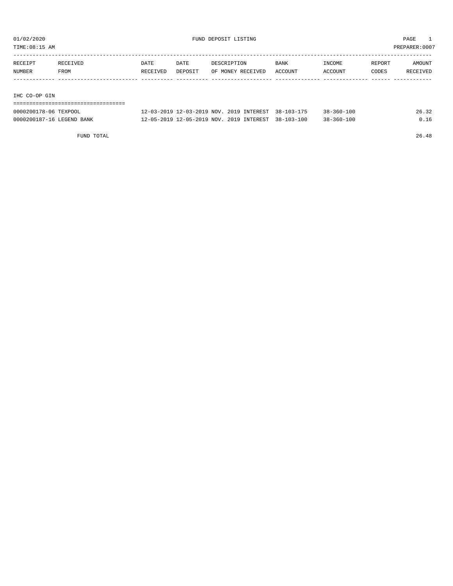TIME:08:15 AM PREPARER:0007

| RECEIPT       | RECEIVED | DATE     | DATE    | DESCRIPTION       | <b>BANK</b> | INCOME  | REPORT | AMOUNT   |
|---------------|----------|----------|---------|-------------------|-------------|---------|--------|----------|
| NUMBER        | FROM     | RECEIVED | DEPOSIT | OF MONEY RECEIVED | ACCOUNT     | ACCOUNT | CODES  | RECEIVED |
|               |          |          |         |                   |             |         |        |          |
|               |          |          |         |                   |             |         |        |          |
| THO OO OD OTH |          |          |         |                   |             |         |        |          |

#### IHC CO-OP GIN

| ------------------------------------<br>------------------------------ |                                                     |  |                  |       |
|------------------------------------------------------------------------|-----------------------------------------------------|--|------------------|-------|
| 0000200178-06 TEXPOOL                                                  | 12-03-2019 12-03-2019 NOV. 2019 INTEREST 38-103-175 |  | $38 - 360 - 100$ | 26.32 |
| 0000200187-16 LEGEND BANK                                              | 12-05-2019 12-05-2019 NOV. 2019 INTEREST 38-103-100 |  | $38 - 360 - 100$ | 0.16  |

FUND TOTAL 26.48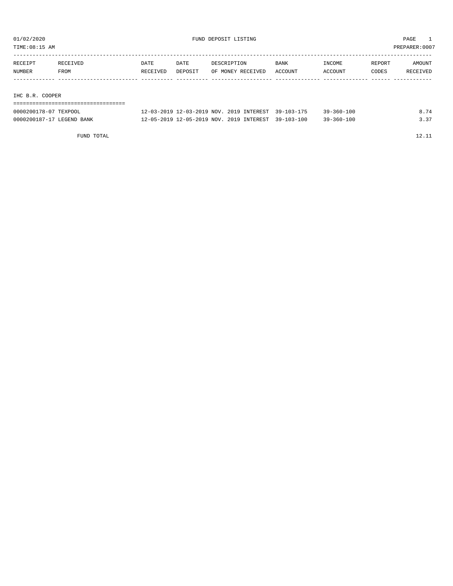TIME:08:15 AM PREPARER:0007

| RECEIPT | RECEIVED        | DATE     | DATE    | DESCRIPTION       | BANK    | INCOME  | REPORT | AMOUNT   |  |
|---------|-----------------|----------|---------|-------------------|---------|---------|--------|----------|--|
| NUMBER  | FROM            | RECEIVED | DEPOSIT | OF MONEY RECEIVED | ACCOUNT | ACCOUNT | CODES  | RECEIVED |  |
|         |                 |          |         |                   |         |         |        |          |  |
|         |                 |          |         |                   |         |         |        |          |  |
|         |                 |          |         |                   |         |         |        |          |  |
|         | IHC B.R. COOPER |          |         |                   |         |         |        |          |  |
|         |                 |          |         |                   |         |         |        |          |  |

| 0000200178-07 TEXPOOL     | 12-03-2019 12-03-2019 NOV, 2019 INTEREST 39-103-175 | $39 - 360 - 100$ | 8.74 |
|---------------------------|-----------------------------------------------------|------------------|------|
| 0000200187-17 LEGEND BANK | 12-05-2019 12-05-2019 NOV. 2019 INTEREST 39-103-100 | $39 - 360 - 100$ |      |

FUND TOTAL 12.11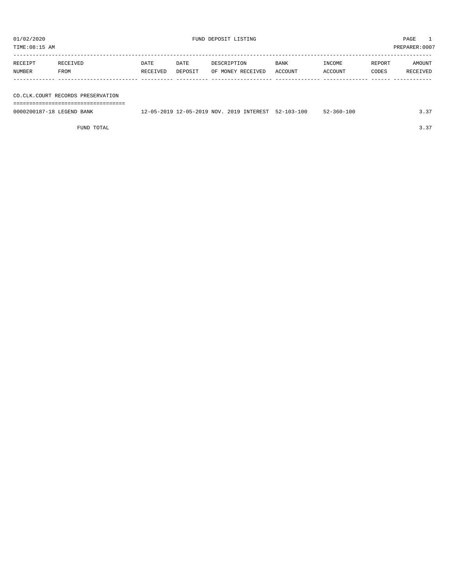TIME:08:15 AM PREPARER:0007

| RECEIPT | RECEIVED | DATE     | DATE    | DESCRIPTION       | <b>BANK</b> | INCOME  | REPORT | AMOUNT   |
|---------|----------|----------|---------|-------------------|-------------|---------|--------|----------|
| NUMBER  | FROM     | RECEIVED | DEPOSIT | OF MONEY RECEIVED | ACCOUNT     | ACCOUNT | CODES  | RECEIVED |
|         |          |          |         |                   |             |         |        |          |
|         |          |          |         |                   |             |         |        |          |

CO.CLK.COURT RECORDS PRESERVATION ===================================

0000200187-18 LEGEND BANK 12-05-2019 12-05-2019 NOV. 2019 INTEREST 52-103-100 52-360-100 3.37

FUND TOTAL 3.37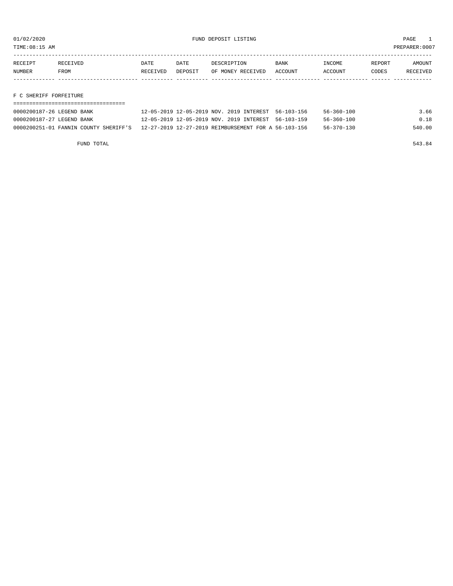TIME:08:15 AM PREPARER:0007

| RECEIPT | <b>RECEIVED</b> | DATE     | DATE    | DESCRIPTION       | <b>BANK</b>    | <b>INCOME</b> | REPORT | <b>AMOUNT</b>   |
|---------|-----------------|----------|---------|-------------------|----------------|---------------|--------|-----------------|
| NUMBER  | <b>FROM</b>     | RECEIVED | DEPOSIT | OF MONEY RECEIVED | <b>ACCOUNT</b> | ACCOUNT       | CODES  | <b>RECEIVED</b> |
|         |                 |          |         |                   |                |               |        |                 |

### F C SHERIFF FORFEITURE

| 0000200187-26 LEGEND BANK | 12-05-2019 12-05-2019 NOV. 2019 INTEREST 56-103-156                                        | $56 - 360 - 100$ | 3.66   |
|---------------------------|--------------------------------------------------------------------------------------------|------------------|--------|
| 0000200187-27 LEGEND BANK | 12-05-2019 12-05-2019 NOV. 2019 INTEREST 56-103-159                                        | 56-360-100       | 0.18   |
|                           | 0000200251-01 FANNIN COUNTY SHERIFF'S 12-27-2019 12-27-2019 REIMBURSEMENT FOR A 56-103-156 | $56 - 370 - 130$ | 540.00 |

FUND TOTAL 543.84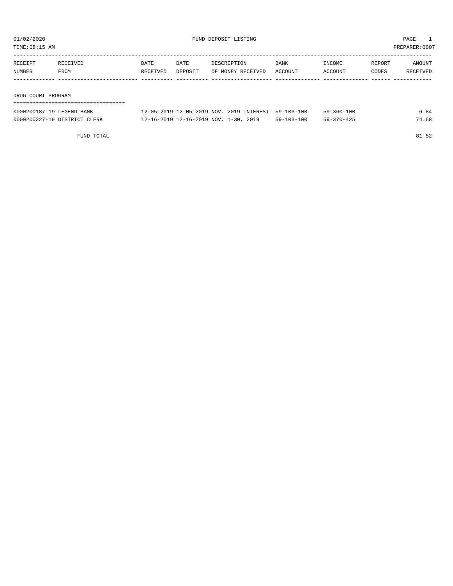TIME:08:15 AM PREPARER:0007

| RECEIPT            | RECEIVED | DATE     | DATE    | DESCRIPTION       | <b>BANK</b> | INCOME  | REPORT       | AMOUNT   |
|--------------------|----------|----------|---------|-------------------|-------------|---------|--------------|----------|
| NUMBER             | FROM     | RECEIVED | DEPOSIT | OF MONEY RECEIVED | ACCOUNT     | ACCOUNT | <b>CODES</b> | RECEIVED |
|                    |          |          |         |                   |             |         |              |          |
|                    |          |          |         |                   |             |         |              |          |
| DRUG COURT PROGRAM |          |          |         |                   |             |         |              |          |

| 0000200187-19 LEGEND BANK    | 12-05-2019 12-05-2019 NOV. 2019 INTEREST 59-103-100 |            | 59-360-100       | 6.84  |
|------------------------------|-----------------------------------------------------|------------|------------------|-------|
| 0000200227-19 DISTRICT CLERK | 12-16-2019 12-16-2019 NOV. 1-30, 2019               | 59-103-100 | $59 - 370 - 425$ | 74.68 |

FUND TOTAL 81.52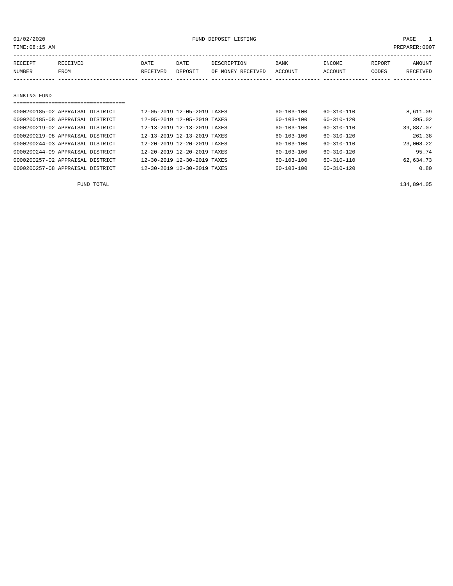| TIME:08:15 AM     |                  |                  |                 |                                  |                 |                   | PREPARER:0007   |                    |
|-------------------|------------------|------------------|-----------------|----------------------------------|-----------------|-------------------|-----------------|--------------------|
| RECEIPT<br>NUMBER | RECEIVED<br>FROM | DATE<br>RECEIVED | DATE<br>DEPOSIT | DESCRIPTION<br>OF MONEY RECEIVED | BANK<br>ACCOUNT | INCOME<br>ACCOUNT | REPORT<br>CODES | AMOUNT<br>RECEIVED |
| SINKING FUND      |                  |                  |                 |                                  |                 |                   |                 |                    |
|                   |                  |                  |                 |                                  |                 |                   |                 |                    |

| 0000200185-02 APPRAISAL DISTRICT | 12-05-2019 12-05-2019 TAXES |  | $60 - 103 - 100$ | $60 - 310 - 110$ | 8,611.09  |
|----------------------------------|-----------------------------|--|------------------|------------------|-----------|
| 0000200185-08 APPRAISAL DISTRICT | 12-05-2019 12-05-2019 TAXES |  | $60 - 103 - 100$ | $60 - 310 - 120$ | 395.02    |
| 0000200219-02 APPRAISAL DISTRICT | 12-13-2019 12-13-2019 TAXES |  | 60-103-100       | 60-310-110       | 39,887.07 |
| 0000200219-08 APPRAISAL DISTRICT | 12-13-2019 12-13-2019 TAXES |  | $60 - 103 - 100$ | $60 - 310 - 120$ | 261.38    |
| 0000200244-03 APPRAISAL DISTRICT | 12-20-2019 12-20-2019 TAXES |  | $60 - 103 - 100$ | $60 - 310 - 110$ | 23,008.22 |
| 0000200244-09 APPRAISAL DISTRICT | 12-20-2019 12-20-2019 TAXES |  | $60 - 103 - 100$ | $60 - 310 - 120$ | 95.74     |
| 0000200257-02 APPRAISAL DISTRICT | 12-30-2019 12-30-2019 TAXES |  | $60 - 103 - 100$ | $60 - 310 - 110$ | 62,634.73 |
| 0000200257-08 APPRAISAL DISTRICT | 12-30-2019 12-30-2019 TAXES |  | $60 - 103 - 100$ | $60 - 310 - 120$ | 0.80      |

FUND TOTAL 134,894.05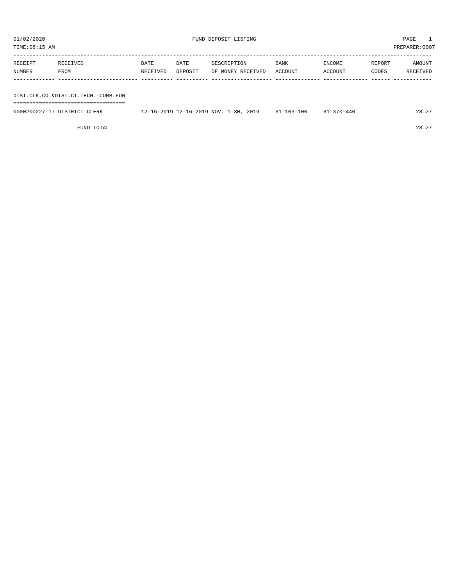| TIME:08:15 AM |                                     |          |                                       |             |                   |                  |                  |        | PREPARER:0007 |
|---------------|-------------------------------------|----------|---------------------------------------|-------------|-------------------|------------------|------------------|--------|---------------|
|               |                                     |          |                                       |             |                   |                  |                  |        |               |
| RECEIPT       | RECEIVED                            | DATE     | DATE                                  | DESCRIPTION |                   | <b>BANK</b>      | INCOME           | REPORT | AMOUNT        |
| NUMBER        | FROM                                | RECEIVED | DEPOSIT                               |             | OF MONEY RECEIVED | ACCOUNT          | ACCOUNT          | CODES  | RECEIVED      |
|               |                                     |          |                                       |             |                   |                  |                  |        |               |
|               |                                     |          |                                       |             |                   |                  |                  |        |               |
|               | DIST.CLK.CO.&DIST.CT.TECH.-COMB.FUN |          |                                       |             |                   |                  |                  |        |               |
|               | ---------------------------         |          |                                       |             |                   |                  |                  |        |               |
|               | 0000200227-17 DISTRICT CLERK        |          | 12-16-2019 12-16-2019 NOV. 1-30, 2019 |             |                   | $61 - 103 - 100$ | $61 - 370 - 440$ |        | 28.27         |
|               |                                     |          |                                       |             |                   |                  |                  |        |               |

FUND TOTAL 28.27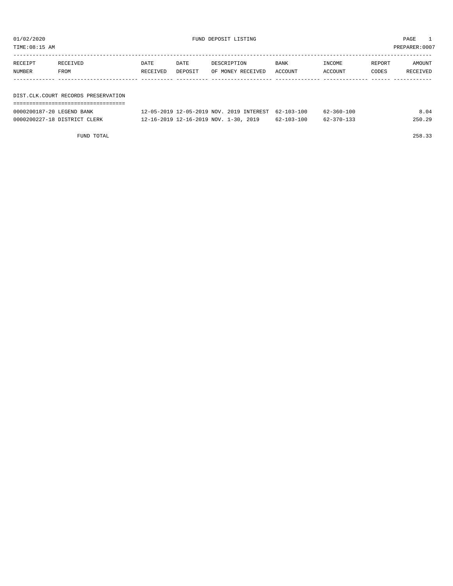TIME:08:15 AM PREPARER:0007

| RECEIPT | RECEIVED                            | DATE     | DATE    | DESCRIPTION       | <b>BANK</b> | INCOME  | REPORT | AMOUNT   |
|---------|-------------------------------------|----------|---------|-------------------|-------------|---------|--------|----------|
| NUMBER  | FROM                                | RECEIVED | DEPOSIT | OF MONEY RECEIVED | ACCOUNT     | ACCOUNT | CODES  | RECEIVED |
|         |                                     |          |         |                   |             |         |        |          |
|         |                                     |          |         |                   |             |         |        |          |
|         | DIST.CLK.COURT RECORDS PRESERVATION |          |         |                   |             |         |        |          |
|         |                                     |          |         |                   |             |         |        |          |

| 0000200187-20 LEGEND BANK    | 12-05-2019 12-05-2019 NOV, 2019 INTEREST 62-103-100 |            | 62-360-100 | 8.04   |
|------------------------------|-----------------------------------------------------|------------|------------|--------|
| 0000200227-18 DISTRICT CLERK | 12-16-2019 12-16-2019 NOV. 1-30, 2019               | 62-103-100 | 62-370-133 | 250.29 |

FUND TOTAL 258.33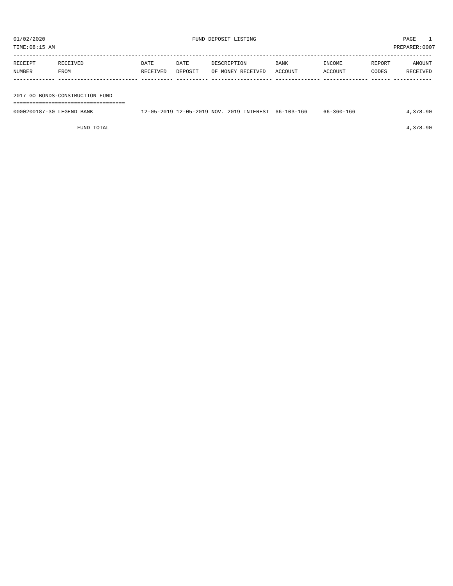| TIME:08:15 AM             |                                 |                  |                 |             |                                          |                 |                   |                 | PREPARER: 0007     |
|---------------------------|---------------------------------|------------------|-----------------|-------------|------------------------------------------|-----------------|-------------------|-----------------|--------------------|
| RECEIPT<br>NUMBER         | RECEIVED<br>FROM                | DATE<br>RECEIVED | DATE<br>DEPOSIT | DESCRIPTION | OF MONEY RECEIVED                        | BANK<br>ACCOUNT | INCOME<br>ACCOUNT | REPORT<br>CODES | AMOUNT<br>RECEIVED |
|                           |                                 |                  |                 |             |                                          |                 |                   |                 |                    |
|                           | 2017 GO BONDS-CONSTRUCTION FUND |                  |                 |             |                                          |                 |                   |                 |                    |
|                           |                                 |                  |                 |             |                                          |                 |                   |                 |                    |
| 0000200187-30 LEGEND BANK |                                 |                  |                 |             | 12-05-2019 12-05-2019 NOV. 2019 INTEREST | 66-103-166      | 66-360-166        |                 | 4,378.90           |

FUND TOTAL 4,378.90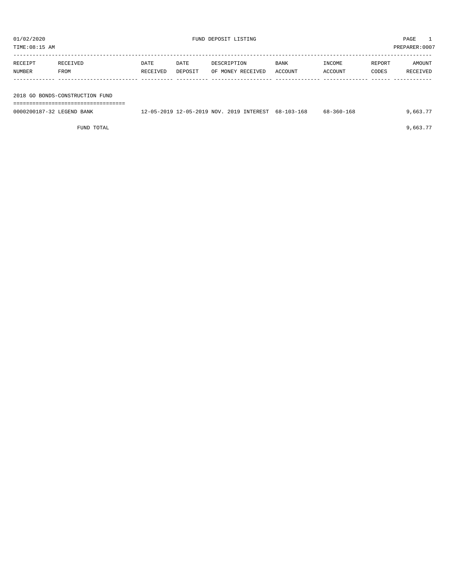| TIME:08:15 AM             |                                 |                  |                 |                                          |                 |                   |                 | PREPARER: 0007     |
|---------------------------|---------------------------------|------------------|-----------------|------------------------------------------|-----------------|-------------------|-----------------|--------------------|
| RECEIPT<br>NUMBER         | RECEIVED<br>FROM                | DATE<br>RECEIVED | DATE<br>DEPOSIT | DESCRIPTION<br>OF MONEY RECEIVED         | BANK<br>ACCOUNT | INCOME<br>ACCOUNT | REPORT<br>CODES | AMOUNT<br>RECEIVED |
|                           | 2018 GO BONDS-CONSTRUCTION FUND |                  |                 |                                          |                 |                   |                 |                    |
| 0000200187-32 LEGEND BANK |                                 |                  |                 | 12-05-2019 12-05-2019 NOV. 2019 INTEREST | 68-103-168      | $68 - 360 - 168$  |                 | 9,663.77           |

FUND TOTAL  $9,663.77$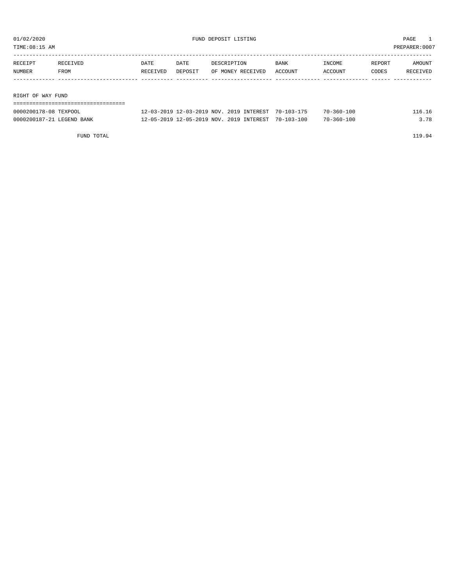TIME:08:15 AM PREPARER:0007

| RECEIPT           | RECEIVED | DATE     | DATE    | DESCRIPTION       | <b>BANK</b> | INCOME  | REPORT | AMOUNT   |
|-------------------|----------|----------|---------|-------------------|-------------|---------|--------|----------|
| NUMBER            | FROM     | RECEIVED | DEPOSIT | OF MONEY RECEIVED | ACCOUNT     | ACCOUNT | CODES  | RECEIVED |
|                   |          |          |         |                   |             |         |        |          |
|                   |          |          |         |                   |             |         |        |          |
| RIGHT OF WAY FUND |          |          |         |                   |             |         |        |          |
|                   |          |          |         |                   |             |         |        |          |

| 0000200178-08 TEXPOOL     | 12-03-2019 12-03-2019 NOV. 2019 INTEREST 70-103-175 |  | $70 - 360 - 100$ | 16.16 |
|---------------------------|-----------------------------------------------------|--|------------------|-------|
| 0000200187-21 LEGEND BANK | 12-05-2019 12-05-2019 NOV. 2019 INTEREST 70-103-100 |  | $70 - 360 - 100$ | .578  |

FUND TOTAL 119.94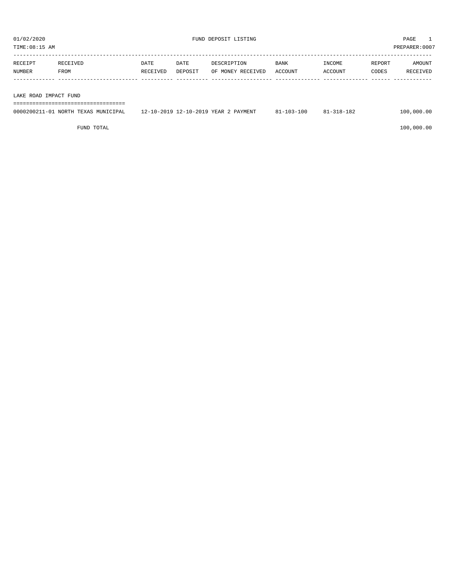TIME:08:15 AM PREPARER:0007

| RECEIPT | RECEIVED | DATE     | DATE    | DESCRIPTION       | BANK    | INCOME  | REPORT | AMOUNT   |
|---------|----------|----------|---------|-------------------|---------|---------|--------|----------|
| NUMBER  | FROM     | RECEIVED | DEPOSIT | OF MONEY RECEIVED | ACCOUNT | ACCOUNT | CODES  | RECEIVED |
|         |          |          |         |                   |         |         |        |          |
|         |          |          |         |                   |         |         |        |          |

LAKE ROAD IMPACT FUND

===================================

| 0000200211-01 NORTH TEXAS MUNICIPAL | 12-10-2019 12-10-2019 YEAR 2 PAYMENT | $81 - 103 - 100$ | $81 - 318 - 182$ | 100,000.00 |
|-------------------------------------|--------------------------------------|------------------|------------------|------------|
|                                     |                                      |                  |                  |            |

 $FUND$  to the contract of  $100,000.00$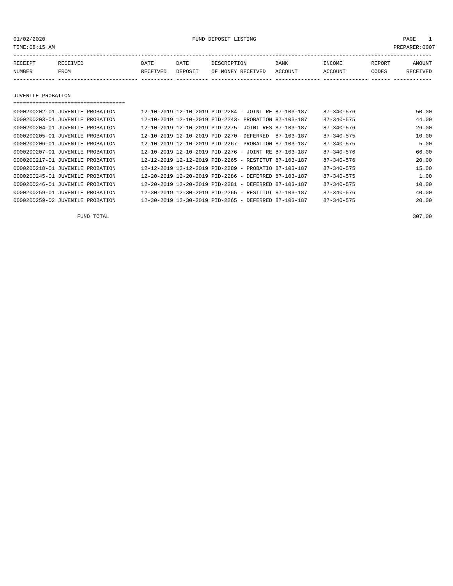01/02/2020 FUND DEPOSIT LISTING PAGE 1

| RECEIPT | RECEIVED | DATE     | DATE    | DESCRIPTION       | <b>BANK</b> | INCOME  | REPORT | AMOUNT   |
|---------|----------|----------|---------|-------------------|-------------|---------|--------|----------|
| NUMBER  | FROM     | RECEIVED | DEPOSIT | OF MONEY RECEIVED | ACCOUNT     | ACCOUNT | CODES  | RECEIVED |
|         |          |          |         |                   |             |         |        |          |

JUVENILE PROBATION

| ----------------------------------- |  |                                                      |  |            |                  |       |
|-------------------------------------|--|------------------------------------------------------|--|------------|------------------|-------|
| 0000200202-01 JUVENILE PROBATION    |  | 12-10-2019 12-10-2019 PID-2284 - JOINT RE 87-103-187 |  |            | $87 - 340 - 576$ | 50.00 |
| 0000200203-01 JUVENILE PROBATION    |  | 12-10-2019 12-10-2019 PID-2243- PROBATION 87-103-187 |  |            | $87 - 340 - 575$ | 44.00 |
| 0000200204-01 JUVENILE PROBATION    |  | 12-10-2019 12-10-2019 PID-2275- JOINT RES 87-103-187 |  |            | 87-340-576       | 26.00 |
| 0000200205-01 JUVENILE PROBATION    |  | 12-10-2019 12-10-2019 PID-2270- DEFERRED             |  | 87-103-187 | $87 - 340 - 575$ | 10.00 |
| 0000200206-01 JUVENILE PROBATION    |  | 12-10-2019 12-10-2019 PID-2267- PROBATION 87-103-187 |  |            | $87 - 340 - 575$ | 5.00  |
| 0000200207-01 JUVENILE PROBATION    |  | 12-10-2019 12-10-2019 PID-2276 - JOINT RE 87-103-187 |  |            | 87-340-576       | 66.00 |
| 0000200217-01 JUVENILE PROBATION    |  | 12-12-2019 12-12-2019 PID-2265 - RESTITUT 87-103-187 |  |            | $87 - 340 - 576$ | 20.00 |
| 0000200218-01 JUVENILE PROBATION    |  | 12-12-2019 12-12-2019 PID-2289 - PROBATIO 87-103-187 |  |            | $87 - 340 - 575$ | 15.00 |
| 0000200245-01 JUVENILE PROBATION    |  | 12-20-2019 12-20-2019 PID-2286 - DEFERRED 87-103-187 |  |            | $87 - 340 - 575$ | 1.00  |
| 0000200246-01 JUVENILE PROBATION    |  | 12-20-2019 12-20-2019 PID-2281 - DEFERRED 87-103-187 |  |            | $87 - 340 - 575$ | 10.00 |
| 0000200259-01 JUVENILE PROBATION    |  | 12-30-2019 12-30-2019 PID-2265 - RESTITUT 87-103-187 |  |            | $87 - 340 - 576$ | 40.00 |
| 0000200259-02 JUVENILE PROBATION    |  | 12-30-2019 12-30-2019 PID-2265 - DEFERRED 87-103-187 |  |            | $87 - 340 - 575$ | 20.00 |

FUND TOTAL 307.00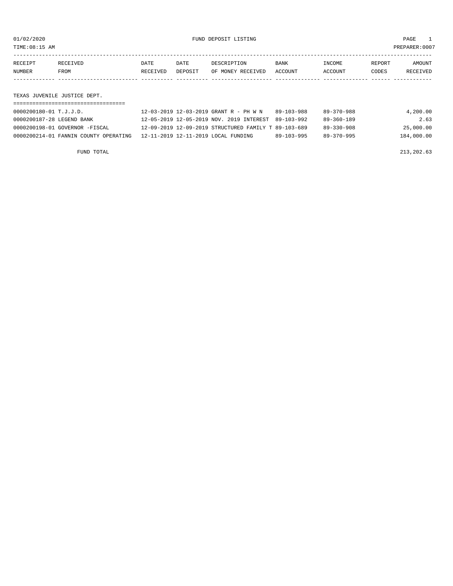TIME:08:15 AM PREPARER:0007

| RECEIPT | RECEIVED | DATE     | DATE    | DESCRIPTION       | <b>BANK</b> | INCOME  | REPORT | AMOUNT   |
|---------|----------|----------|---------|-------------------|-------------|---------|--------|----------|
| NUMBER  | FROM     | RECEIVED | DEPOSIT | OF MONEY RECEIVED | ACCOUNT     | ACCOUNT | CODES  | RECEIVED |
|         |          |          |         |                   |             |         |        |          |
|         |          |          |         |                   |             |         |        |          |

TEXAS JUVENILE JUSTICE DEPT.

| 0000200180-01 T.J.J.D.                | 12-03-2019 12-03-2019 GRANT R - PH W N               | 89-103-988 | 89-370-988       | 4,200.00   |
|---------------------------------------|------------------------------------------------------|------------|------------------|------------|
| 0000200187-28 LEGEND BANK             | 12-05-2019 12-05-2019 NOV. 2019 INTEREST 89-103-992  |            | 89-360-189       | 2.63       |
| 0000200198-01 GOVERNOR -FISCAL        | 12-09-2019 12-09-2019 STRUCTURED FAMILY T 89-103-689 |            | $89 - 330 - 908$ | 25,000.00  |
| 0000200214-01 FANNIN COUNTY OPERATING | 12-11-2019 12-11-2019 LOCAL FUNDING                  | 89-103-995 | 89-370-995       | 184,000.00 |

FUND TOTAL 213,202.63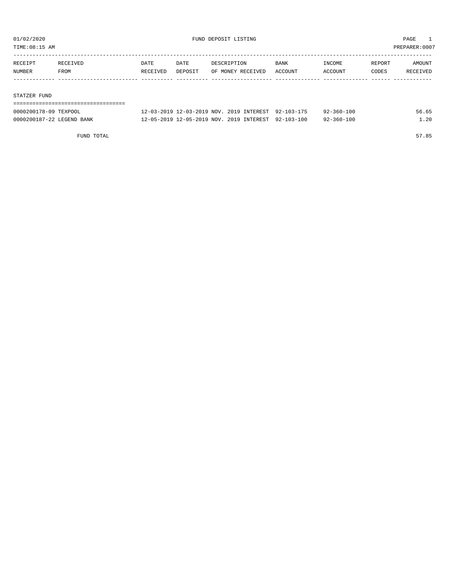TIME:08:15 AM PREPARER:0007

| RECEIPT | RECEIVED | DATE     | DATE    | DESCRIPTION       | BANK    | INCOME  | REPORT | AMOUNT   |
|---------|----------|----------|---------|-------------------|---------|---------|--------|----------|
| NUMBER  | FROM     | RECEIVED | DEPOSIT | OF MONEY RECEIVED | ACCOUNT | ACCOUNT | CODES  | RECEIVED |
|         |          |          |         |                   |         |         |        |          |
|         |          |          |         |                   |         |         |        |          |

#### STATZER FUND

| ------------------------------------ |                                                     |  |                  |       |
|--------------------------------------|-----------------------------------------------------|--|------------------|-------|
| 0000200178-09 TEXPOOL                | 12-03-2019 12-03-2019 NOV. 2019 INTEREST 92-103-175 |  | 92-360-100       | 56.65 |
| 0000200187-22 LEGEND BANK            | 12-05-2019 12-05-2019 NOV. 2019 INTEREST 92-103-100 |  | $92 - 360 - 100$ | 1.20  |

FUND TOTAL 57.85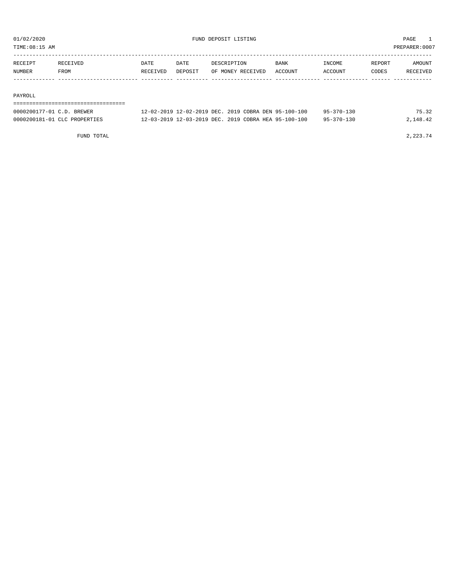TIME:08:15 AM PREPARER:0007

| RECEIPT | <b>RECEIVED</b> | DATE     | DATE    | DESCRIPTION       | <b>BANK</b> | INCOME         | REPORT | AMOUNT   |
|---------|-----------------|----------|---------|-------------------|-------------|----------------|--------|----------|
| NUMBER  | FROM            | RECEIVED | DEPOSIT | OF MONEY RECEIVED | ACCOUNT     | <b>ACCOUNT</b> | CODES  | RECEIVED |
|         |                 |          |         |                   |             |                |        |          |

#### PAYROLL

#### ===================================

| 0000200177-01 C.D. BREWER    | 12-02-2019 12-02-2019 DEC. 2019 COBRA DEN 95-100-100 | $95 - 370 - 130$ | 75.32    |
|------------------------------|------------------------------------------------------|------------------|----------|
| 0000200181-01 CLC PROPERTIES | 12-03-2019 12-03-2019 DEC. 2019 COBRA HEA 95-100-100 | $95 - 370 - 130$ | 2,148.42 |

FUND TOTAL  $2,223.74$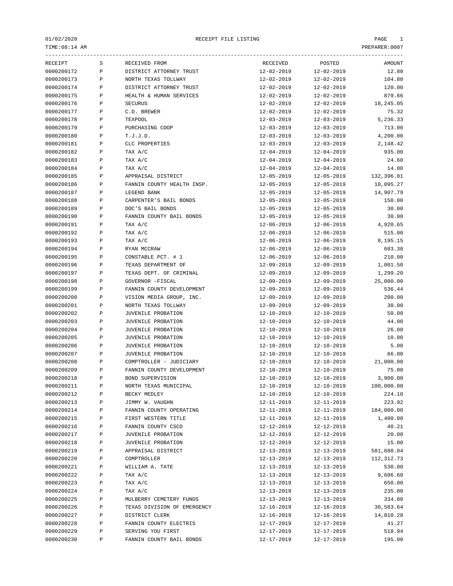|            |              | ------------------          | ----------------- |                  |            |
|------------|--------------|-----------------------------|-------------------|------------------|------------|
| RECEIPT    | S            | RECEIVED FROM               | RECEIVED          | POSTED           | AMOUNT     |
| 0000200172 | P            | DISTRICT ATTORNEY TRUST     | $12 - 02 - 2019$  | $12 - 02 - 2019$ | 12.80      |
| 0000200173 | Ρ            | NORTH TEXAS TOLLWAY         | $12 - 02 - 2019$  | $12 - 02 - 2019$ | 104.80     |
| 0000200174 | Ρ            | DISTRICT ATTORNEY TRUST     | 12-02-2019        | $12 - 02 - 2019$ | 120.00     |
| 0000200175 | Ρ            | HEALTH & HUMAN SERVICES     | $12 - 02 - 2019$  | $12 - 02 - 2019$ | 879.66     |
| 0000200176 | P            | <b>SECURUS</b>              | $12 - 02 - 2019$  | $12 - 02 - 2019$ | 18,245.05  |
| 0000200177 | P            | C.D. BREWER                 | 12-02-2019        | $12 - 02 - 2019$ | 75.32      |
| 0000200178 | P            | TEXPOOL                     | $12 - 03 - 2019$  | $12 - 03 - 2019$ | 5,236.33   |
| 0000200179 | P            | PURCHASING COOP             | $12 - 03 - 2019$  | $12 - 03 - 2019$ | 713.00     |
| 0000200180 | Ρ            | T.J.J.D.                    | $12 - 03 - 2019$  | $12 - 03 - 2019$ | 4,200.00   |
| 0000200181 | Ρ            | CLC PROPERTIES              | $12 - 03 - 2019$  | $12 - 03 - 2019$ | 2,148.42   |
| 0000200182 | Ρ            | TAX A/C                     | $12 - 04 - 2019$  | $12 - 04 - 2019$ | 935.00     |
| 0000200183 | P            | TAX A/C                     | $12 - 04 - 2019$  | $12 - 04 - 2019$ | 24.60      |
| 0000200184 | P            | TAX A/C                     | $12 - 04 - 2019$  | $12 - 04 - 2019$ | 14.80      |
| 0000200185 | Ρ            | APPRAISAL DISTRICT          | $12 - 05 - 2019$  | $12 - 05 - 2019$ | 132,396.01 |
| 0000200186 | Ρ            | FANNIN COUNTY HEALTH INSP.  | $12 - 05 - 2019$  | $12 - 05 - 2019$ | 10,095.27  |
| 0000200187 | P            | LEGEND BANK                 | $12 - 05 - 2019$  | $12 - 05 - 2019$ | 14,907.79  |
| 0000200188 | Ρ            | CARPENTER'S BAIL BONDS      | $12 - 05 - 2019$  | $12 - 05 - 2019$ | 150.00     |
| 0000200189 | P            | DOC'S BAIL BONDS            | $12 - 05 - 2019$  | $12 - 05 - 2019$ | 30.00      |
| 0000200190 | P            | FANNIN COUNTY BAIL BONDS    | $12 - 05 - 2019$  | $12 - 05 - 2019$ | 30.00      |
| 0000200191 | Ρ            | TAX A/C                     | $12 - 06 - 2019$  | $12 - 06 - 2019$ | 4,920.65   |
| 0000200192 | P            | TAX A/C                     | $12 - 06 - 2019$  | $12 - 06 - 2019$ | 515.00     |
| 0000200193 | P            | TAX A/C                     | $12 - 06 - 2019$  | $12 - 06 - 2019$ | 8,195.15   |
| 0000200194 | P            | RYAN MCCRAW                 | $12 - 06 - 2019$  | $12 - 06 - 2019$ | 603.38     |
| 0000200195 | P            | CONSTABLE PCT. # 1          | $12 - 06 - 2019$  | $12 - 06 - 2019$ | 210.00     |
| 0000200196 | Ρ            | TEXAS DEPARTMENT OF         | $12 - 09 - 2019$  | 12-09-2019       | 1,001.50   |
| 0000200197 | Ρ            | TEXAS DEPT. OF CRIMINAL     | $12 - 09 - 2019$  | $12 - 09 - 2019$ | 1,299.20   |
| 0000200198 | P            | GOVERNOR -FISCAL            | 12-09-2019        | 12-09-2019       | 25,000.00  |
| 0000200199 | P            | FANNIN COUNTY DEVELOPMENT   | $12 - 09 - 2019$  | $12 - 09 - 2019$ | 536.44     |
| 0000200200 | P            | VISION MEDIA GROUP, INC.    | $12 - 09 - 2019$  | $12 - 09 - 2019$ | 200.00     |
| 0000200201 | P            | NORTH TEXAS TOLLWAY         | $12 - 09 - 2019$  | 12-09-2019       | 30.00      |
| 0000200202 | Ρ            | <b>JUVENILE PROBATION</b>   | $12 - 10 - 2019$  | $12 - 10 - 2019$ | 50.00      |
| 0000200203 | P            | <b>JUVENILE PROBATION</b>   | $12 - 10 - 2019$  | $12 - 10 - 2019$ | 44.00      |
| 0000200204 | Ρ            | JUVENILE PROBATION          | $12 - 10 - 2019$  | $12 - 10 - 2019$ | 26.00      |
| 0000200205 | P            | JUVENILE PROBATION          | $12 - 10 - 2019$  | $12 - 10 - 2019$ | 10.00      |
| 0000200206 | Ρ            | JUVENILE PROBATION          | $12 - 10 - 2019$  | $12 - 10 - 2019$ | 5.00       |
| 0000200207 | Ρ            | JUVENILE PROBATION          | $12 - 10 - 2019$  | $12 - 10 - 2019$ | 66.00      |
| 0000200208 | Ρ            | COMPTROLLER - JUDICIARY     | $12 - 10 - 2019$  | $12 - 10 - 2019$ | 21,000.00  |
| 0000200209 | P            | FANNIN COUNTY DEVELOPMENT   | $12 - 10 - 2019$  | $12 - 10 - 2019$ | 75.00      |
| 0000200210 | P            | BOND SUPERVISION            | $12 - 10 - 2019$  | $12 - 10 - 2019$ | 3,900.00   |
| 0000200211 | $\, {\bf P}$ | NORTH TEXAS MUNICIPAL       | $12 - 10 - 2019$  | $12 - 10 - 2019$ | 100,000.00 |
| 0000200212 | Ρ            | BECKY MEDLEY                | $12 - 10 - 2019$  | $12 - 10 - 2019$ | 224.10     |
| 0000200213 | Ρ            | JIMMY W. VAUGHN             | $12 - 11 - 2019$  | $12 - 11 - 2019$ | 223.92     |
| 0000200214 | Ρ            | FANNIN COUNTY OPERATING     | 12-11-2019        | 12-11-2019       | 184,000.00 |
| 0000200215 | Ρ            | FIRST WESTERN TITLE         | $12 - 11 - 2019$  | $12 - 11 - 2019$ | 1,400.00   |
| 0000200216 | Ρ            | FANNIN COUNTY CSCD          | $12 - 12 - 2019$  | 12-12-2019       | 40.21      |
| 0000200217 | Ρ            | JUVENILE PROBATION          | 12-12-2019        | 12-12-2019       | 20.00      |
| 0000200218 | Ρ            | JUVENILE PROBATION          | $12 - 12 - 2019$  | $12 - 12 - 2019$ | 15.00      |
| 0000200219 | Ρ            | APPRAISAL DISTRICT          | $12 - 13 - 2019$  | $12 - 13 - 2019$ | 581,688.04 |
| 0000200220 | Ρ            | COMPTROLLER                 | $12 - 13 - 2019$  | $12 - 13 - 2019$ | 112,312.73 |
| 0000200221 | Ρ            | WILLIAM A. TATE             | $12 - 13 - 2019$  | 12-13-2019       | 530.00     |
| 0000200222 | Ρ            | TAX A/C                     | $12 - 13 - 2019$  | 12-13-2019       | 9,606.60   |
| 0000200223 | Ρ            | TAX A/C                     | $12 - 13 - 2019$  | 12-13-2019       | 650.00     |
| 0000200224 | Ρ            | TAX A/C                     | 12-13-2019        | 12-13-2019       | 235.00     |
| 0000200225 | Ρ            | MULBERRY CEMETERY FUNDS     | $12 - 13 - 2019$  | 12-13-2019       | 334.80     |
| 0000200226 | Ρ            | TEXAS DIVISION OF EMERGENCY | 12-16-2019        | 12-16-2019       | 30,583.64  |
| 0000200227 | Ρ            | DISTRICT CLERK              | $12 - 16 - 2019$  | 12-16-2019       | 14,810.28  |
| 0000200228 | Ρ            | FANNIN COUNTY ELECTRIS      | 12-17-2019        | 12-17-2019       | 41.27      |
| 0000200229 | Ρ            | SERVING YOU FIRST           | $12 - 17 - 2019$  | $12 - 17 - 2019$ | 518.94     |
| 0000200230 | Ρ            | FANNIN COUNTY BAIL BONDS    | $12 - 17 - 2019$  | $12 - 17 - 2019$ | 195.00     |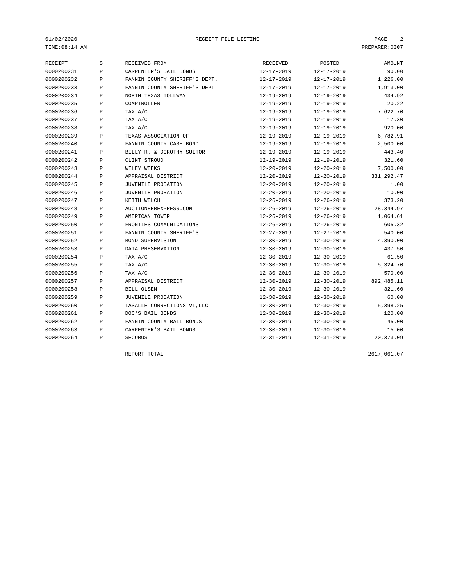| RECEIPT    | S            | RECEIVED FROM                 | RECEIVED         | POSTED           | AMOUNT      |
|------------|--------------|-------------------------------|------------------|------------------|-------------|
| 0000200231 | P            | CARPENTER'S BAIL BONDS        | $12 - 17 - 2019$ | $12 - 17 - 2019$ | 90.00       |
| 0000200232 | P            | FANNIN COUNTY SHERIFF'S DEPT. | $12 - 17 - 2019$ | $12 - 17 - 2019$ | 1,226.00    |
| 0000200233 | P            | FANNIN COUNTY SHERIFF'S DEPT  | $12 - 17 - 2019$ | $12 - 17 - 2019$ | 1,913.00    |
| 0000200234 | P            | NORTH TEXAS TOLLWAY           | $12 - 19 - 2019$ | $12 - 19 - 2019$ | 434.92      |
| 0000200235 | P            | COMPTROLLER                   | $12 - 19 - 2019$ | $12 - 19 - 2019$ | 20.22       |
| 0000200236 | P            | TAX A/C                       | $12 - 19 - 2019$ | $12 - 19 - 2019$ | 7,622.70    |
| 0000200237 | P            | TAX A/C                       | $12 - 19 - 2019$ | $12 - 19 - 2019$ | 17.30       |
| 0000200238 | P            | TAX A/C                       | $12 - 19 - 2019$ | $12 - 19 - 2019$ | 920.00      |
| 0000200239 | P            | TEXAS ASSOCIATION OF          | $12 - 19 - 2019$ | $12 - 19 - 2019$ | 6,782.91    |
| 0000200240 | P            | FANNIN COUNTY CASH BOND       | $12 - 19 - 2019$ | $12 - 19 - 2019$ | 2,500.00    |
| 0000200241 | P            | BILLY R. & DOROTHY SUITOR     | $12 - 19 - 2019$ | $12 - 19 - 2019$ | 443.40      |
| 0000200242 | P            | CLINT STROUD                  | $12 - 19 - 2019$ | $12 - 19 - 2019$ | 321.60      |
| 0000200243 | P            | WILEY WEEKS                   | $12 - 20 - 2019$ | 12-20-2019       | 7,500.00    |
| 0000200244 | P            | APPRAISAL DISTRICT            | $12 - 20 - 2019$ | $12 - 20 - 2019$ | 331, 292.47 |
| 0000200245 | P            | JUVENILE PROBATION            | $12 - 20 - 2019$ | $12 - 20 - 2019$ | 1.00        |
| 0000200246 | P            | <b>JUVENILE PROBATION</b>     | $12 - 20 - 2019$ | $12 - 20 - 2019$ | 10.00       |
| 0000200247 | P            | KEITH WELCH                   | $12 - 26 - 2019$ | $12 - 26 - 2019$ | 373.20      |
| 0000200248 | P            | AUCTIONEEREXPRESS.COM         | $12 - 26 - 2019$ | $12 - 26 - 2019$ | 28, 344.97  |
| 0000200249 | P            | AMERICAN TOWER                | $12 - 26 - 2019$ | $12 - 26 - 2019$ | 1,064.61    |
| 0000200250 | P            | FRONTIES COMMUNICATIONS       | $12 - 26 - 2019$ | $12 - 26 - 2019$ | 605.32      |
| 0000200251 | P            | FANNIN COUNTY SHERIFF'S       | $12 - 27 - 2019$ | $12 - 27 - 2019$ | 540.00      |
| 0000200252 | P            | BOND SUPERVISION              | $12 - 30 - 2019$ | $12 - 30 - 2019$ | 4,390.00    |
| 0000200253 | $\mathbf{P}$ | DATA PRESERVATION             | $12 - 30 - 2019$ | $12 - 30 - 2019$ | 437.50      |
| 0000200254 | P            | TAX A/C                       | $12 - 30 - 2019$ | $12 - 30 - 2019$ | 61.50       |
| 0000200255 | P            | TAX A/C                       | $12 - 30 - 2019$ | $12 - 30 - 2019$ | 5,324.70    |
| 0000200256 | P            | TAX A/C                       | $12 - 30 - 2019$ | $12 - 30 - 2019$ | 570.00      |
| 0000200257 | P            | APPRAISAL DISTRICT            | $12 - 30 - 2019$ | $12 - 30 - 2019$ | 892,485.11  |
| 0000200258 | P            | BILL OLSEN                    | $12 - 30 - 2019$ | $12 - 30 - 2019$ | 321.60      |
| 0000200259 | Ρ            | <b>JUVENILE PROBATION</b>     | $12 - 30 - 2019$ | $12 - 30 - 2019$ | 60.00       |
| 0000200260 | P            | LASALLE CORRECTIONS VI, LLC   | $12 - 30 - 2019$ | $12 - 30 - 2019$ | 5,398.25    |
| 0000200261 | P            | DOC'S BAIL BONDS              | $12 - 30 - 2019$ | $12 - 30 - 2019$ | 120.00      |
| 0000200262 | P            | FANNIN COUNTY BAIL BONDS      | $12 - 30 - 2019$ | $12 - 30 - 2019$ | 45.00       |
| 0000200263 | P            | CARPENTER'S BAIL BONDS        | $12 - 30 - 2019$ | $12 - 30 - 2019$ | 15.00       |
| 0000200264 | P            | <b>SECURUS</b>                | $12 - 31 - 2019$ | $12 - 31 - 2019$ | 20,373.09   |
|            |              |                               |                  |                  |             |

REPORT TOTAL 2617,061.07